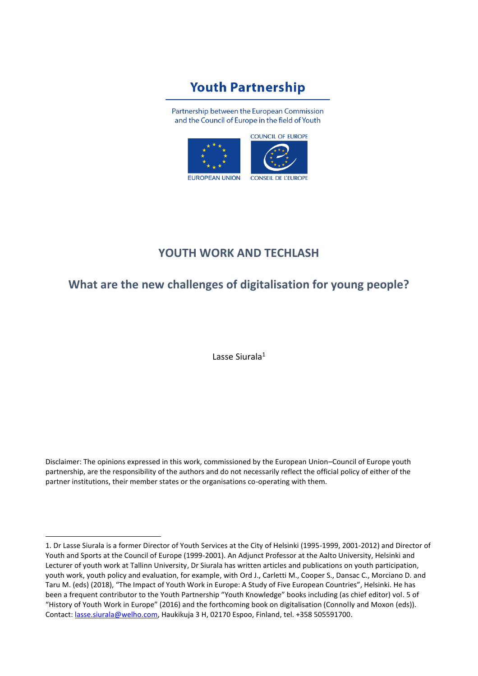# **Youth Partnership**

Partnership between the European Commission and the Council of Europe in the field of Youth



# **YOUTH WORK AND TECHLASH**

# **What are the new challenges of digitalisation for young people?**

Lasse Siurala<sup>1</sup>

Disclaimer: The opinions expressed in this work, commissioned by the European Union–Council of Europe youth partnership, are the responsibility of the authors and do not necessarily reflect the official policy of either of the partner institutions, their member states or the organisations co-operating with them.

<sup>1.</sup> Dr Lasse Siurala is a former Director of Youth Services at the City of Helsinki (1995-1999, 2001-2012) and Director of Youth and Sports at the Council of Europe (1999-2001). An Adjunct Professor at the Aalto University, Helsinki and Lecturer of youth work at Tallinn University, Dr Siurala has written articles and publications on youth participation, youth work, youth policy and evaluation, for example, with Ord J., Carletti M., Cooper S., Dansac C., Morciano D. and Taru M. (eds) (2018), "The Impact of Youth Work in Europe: A Study of Five European Countries", Helsinki. He has been a frequent contributor to the Youth Partnership "Youth Knowledge" books including (as chief editor) vol. 5 of "History of Youth Work in Europe" (2016) and the forthcoming book on digitalisation (Connolly and Moxon (eds)). Contact: [lasse.siurala@welho.com,](mailto:lasse.siurala@welho.com) Haukikuja 3 H, 02170 Espoo, Finland, tel. +358 505591700.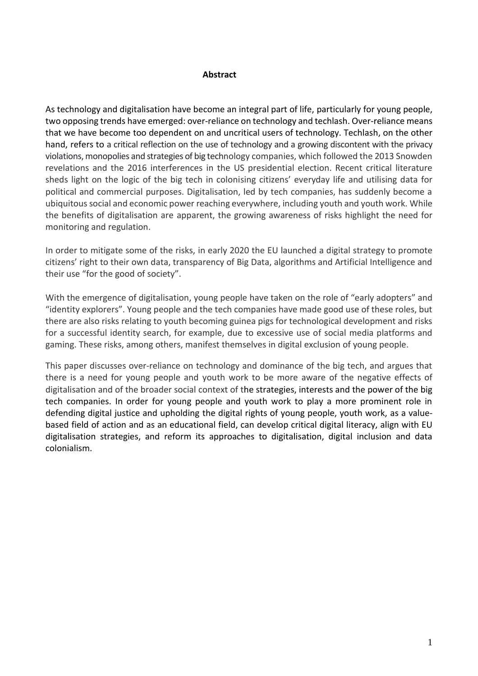#### **Abstract**

As technology and digitalisation have become an integral part of life, particularly for young people, two opposing trends have emerged: over-reliance on technology and techlash. Over-reliance means that we have become too dependent on and uncritical users of technology. Techlash, on the other hand, refers to a critical reflection on the use of technology and a growing discontent with the privacy violations, monopolies and strategies of big technology companies, which followed the 2013 Snowden revelations and the 2016 interferences in the US presidential election. Recent critical literature sheds light on the logic of the big tech in colonising citizens' everyday life and utilising data for political and commercial purposes. Digitalisation, led by tech companies, has suddenly become a ubiquitous social and economic power reaching everywhere, including youth and youth work. While the benefits of digitalisation are apparent, the growing awareness of risks highlight the need for monitoring and regulation.

In order to mitigate some of the risks, in early 2020 the EU launched a digital strategy to promote citizens' right to their own data, transparency of Big Data, algorithms and Artificial Intelligence and their use "for the good of society".

With the emergence of digitalisation, young people have taken on the role of "early adopters" and "identity explorers". Young people and the tech companies have made good use of these roles, but there are also risks relating to youth becoming guinea pigs for technological development and risks for a successful identity search, for example, due to excessive use of social media platforms and gaming. These risks, among others, manifest themselves in digital exclusion of young people.

This paper discusses over-reliance on technology and dominance of the big tech, and argues that there is a need for young people and youth work to be more aware of the negative effects of digitalisation and of the broader social context of the strategies, interests and the power of the big tech companies. In order for young people and youth work to play a more prominent role in defending digital justice and upholding the digital rights of young people, youth work, as a valuebased field of action and as an educational field, can develop critical digital literacy, align with EU digitalisation strategies, and reform its approaches to digitalisation, digital inclusion and data colonialism.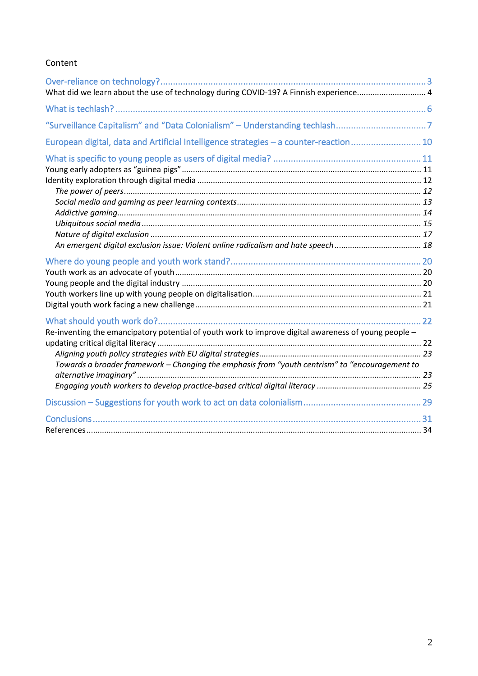#### Content

| What did we learn about the use of technology during COVID-19? A Finnish experience 4                                                                                                                  |  |
|--------------------------------------------------------------------------------------------------------------------------------------------------------------------------------------------------------|--|
|                                                                                                                                                                                                        |  |
|                                                                                                                                                                                                        |  |
| European digital, data and Artificial Intelligence strategies - a counter-reaction10                                                                                                                   |  |
|                                                                                                                                                                                                        |  |
|                                                                                                                                                                                                        |  |
|                                                                                                                                                                                                        |  |
| Re-inventing the emancipatory potential of youth work to improve digital awareness of young people -<br>Towards a broader framework - Changing the emphasis from "youth centrism" to "encouragement to |  |
|                                                                                                                                                                                                        |  |
|                                                                                                                                                                                                        |  |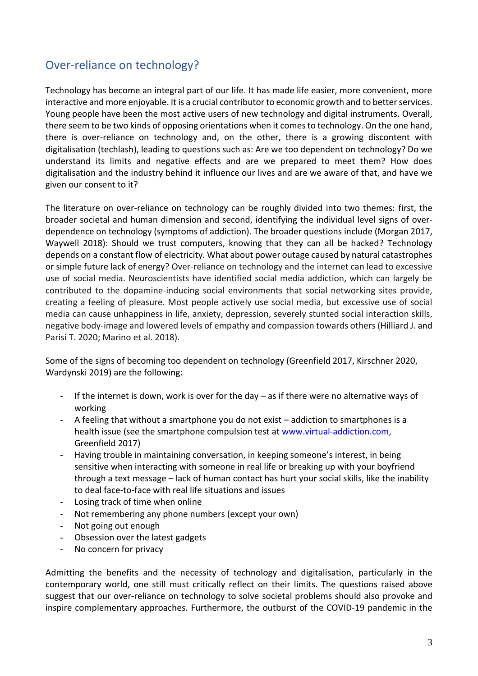# <span id="page-3-0"></span>Over-reliance on technology?

Technology has become an integral part of our life. It has made life easier, more convenient, more interactive and more enjoyable. It is a crucial contributor to economic growth and to better services. Young people have been the most active users of new technology and digital instruments. Overall, there seem to be two kinds of opposing orientations when it comes to technology. On the one hand, there is over-reliance on technology and, on the other, there is a growing discontent with digitalisation (techlash), leading to questions such as: Are we too dependent on technology? Do we understand its limits and negative effects and are we prepared to meet them? How does digitalisation and the industry behind it influence our lives and are we aware of that, and have we given our consent to it?

The literature on over-reliance on technology can be roughly divided into two themes: first, the broader societal and human dimension and second, identifying the individual level signs of overdependence on technology (symptoms of addiction). The broader questions include (Morgan 2017, Waywell 2018): Should we trust computers, knowing that they can all be hacked? Technology depends on a constant flow of electricity. What about power outage caused by natural catastrophes or simple future lack of energy? Over-reliance on technology and the internet can lead to excessive use of social media. Neuroscientists have identified social media addiction, which can largely be contributed to the dopamine-inducing social environments that social networking sites provide, creating a feeling of pleasure. Most people actively use social media, but excessive use of social media can cause unhappiness in life, anxiety, depression, severely stunted social interaction skills, negative body-image and lowered levels of empathy and compassion towards others (Hilliard J. and Parisi T. 2020; Marino et al. 2018).

Some of the signs of becoming too dependent on technology (Greenfield 2017, Kirschner 2020, Wardynski 2019) are the following:

- If the internet is down, work is over for the day  $-$  as if there were no alternative ways of working
- A feeling that without a smartphone you do not exist addiction to smartphones is a health issue (see the smartphone compulsion test at [www.virtual-addiction.com,](http://www.virtual-addiction.com/) Greenfield 2017)
- Having trouble in maintaining conversation, in keeping someone's interest, in being sensitive when interacting with someone in real life or breaking up with your boyfriend through a text message – lack of human contact has hurt your social skills, like the inability to deal face-to-face with real life situations and issues
- Losing track of time when online
- Not remembering any phone numbers (except your own)
- Not going out enough
- Obsession over the latest gadgets
- No concern for privacy

Admitting the benefits and the necessity of technology and digitalisation, particularly in the contemporary world, one still must critically reflect on their limits. The questions raised above suggest that our over-reliance on technology to solve societal problems should also provoke and inspire complementary approaches. Furthermore, the outburst of the COVID-19 pandemic in the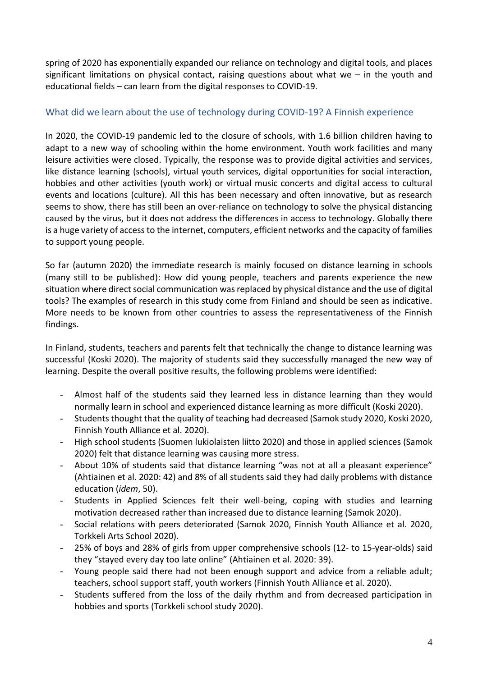spring of 2020 has exponentially expanded our reliance on technology and digital tools, and places significant limitations on physical contact, raising questions about what we  $-$  in the youth and educational fields – can learn from the digital responses to COVID-19.

#### <span id="page-4-0"></span>What did we learn about the use of technology during COVID-19? A Finnish experience

In 2020, the COVID-19 pandemic led to the closure of schools, with 1.6 billion children having to adapt to a new way of schooling within the home environment. Youth work facilities and many leisure activities were closed. Typically, the response was to provide digital activities and services, like distance learning (schools), virtual youth services, digital opportunities for social interaction, hobbies and other activities (youth work) or virtual music concerts and digital access to cultural events and locations (culture). All this has been necessary and often innovative, but as research seems to show, there has still been an over-reliance on technology to solve the physical distancing caused by the virus, but it does not address the differences in access to technology. Globally there is a huge variety of access to the internet, computers, efficient networks and the capacity of families to support young people.

So far (autumn 2020) the immediate research is mainly focused on distance learning in schools (many still to be published): How did young people, teachers and parents experience the new situation where direct social communication was replaced by physical distance and the use of digital tools? The examples of research in this study come from Finland and should be seen as indicative. More needs to be known from other countries to assess the representativeness of the Finnish findings.

In Finland, students, teachers and parents felt that technically the change to distance learning was successful (Koski 2020). The majority of students said they successfully managed the new way of learning. Despite the overall positive results, the following problems were identified:

- Almost half of the students said they learned less in distance learning than they would normally learn in school and experienced distance learning as more difficult (Koski 2020).
- Students thought that the quality of teaching had decreased (Samok study 2020, Koski 2020, Finnish Youth Alliance et al. 2020).
- High school students (Suomen lukiolaisten liitto 2020) and those in applied sciences (Samok 2020) felt that distance learning was causing more stress.
- About 10% of students said that distance learning "was not at all a pleasant experience" (Ahtiainen et al. 2020: 42) and 8% of all students said they had daily problems with distance education (*idem*, 50).
- Students in Applied Sciences felt their well-being, coping with studies and learning motivation decreased rather than increased due to distance learning (Samok 2020).
- Social relations with peers deteriorated (Samok 2020, Finnish Youth Alliance et al. 2020, Torkkeli Arts School 2020).
- 25% of boys and 28% of girls from upper comprehensive schools (12- to 15-year-olds) said they "stayed every day too late online" (Ahtiainen et al. 2020: 39).
- Young people said there had not been enough support and advice from a reliable adult; teachers, school support staff, youth workers (Finnish Youth Alliance et al. 2020).
- Students suffered from the loss of the daily rhythm and from decreased participation in hobbies and sports (Torkkeli school study 2020).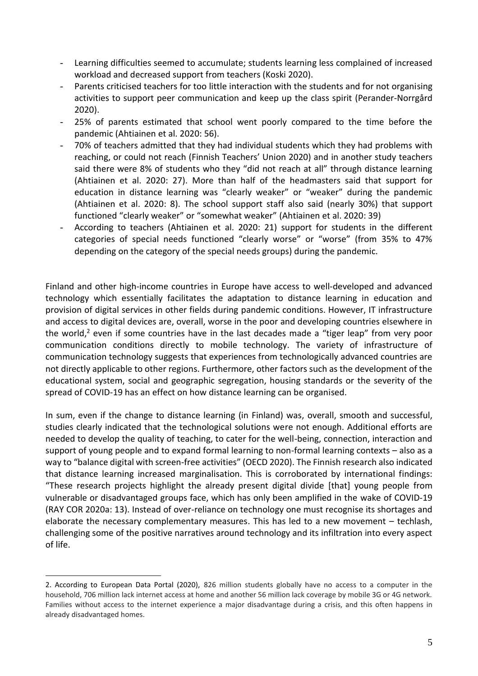- Learning difficulties seemed to accumulate; students learning less complained of increased workload and decreased support from teachers (Koski 2020).
- Parents criticised teachers for too little interaction with the students and for not organising activities to support peer communication and keep up the class spirit (Perander-Norrgård 2020).
- 25% of parents estimated that school went poorly compared to the time before the pandemic (Ahtiainen et al. 2020: 56).
- 70% of teachers admitted that they had individual students which they had problems with reaching, or could not reach (Finnish Teachers' Union 2020) and in another study teachers said there were 8% of students who they "did not reach at all" through distance learning (Ahtiainen et al. 2020: 27). More than half of the headmasters said that support for education in distance learning was "clearly weaker" or "weaker" during the pandemic (Ahtiainen et al. 2020: 8). The school support staff also said (nearly 30%) that support functioned "clearly weaker" or "somewhat weaker" (Ahtiainen et al. 2020: 39)
- According to teachers (Ahtiainen et al. 2020: 21) support for students in the different categories of special needs functioned "clearly worse" or "worse" (from 35% to 47% depending on the category of the special needs groups) during the pandemic.

Finland and other high-income countries in Europe have access to well-developed and advanced technology which essentially facilitates the adaptation to distance learning in education and provision of digital services in other fields during pandemic conditions. However, IT infrastructure and access to digital devices are, overall, worse in the poor and developing countries elsewhere in the world, <sup>2</sup> even if some countries have in the last decades made a "tiger leap" from very poor communication conditions directly to mobile technology. The variety of infrastructure of communication technology suggests that experiences from technologically advanced countries are not directly applicable to other regions. Furthermore, other factors such as the development of the educational system, social and geographic segregation, housing standards or the severity of the spread of COVID-19 has an effect on how distance learning can be organised.

In sum, even if the change to distance learning (in Finland) was, overall, smooth and successful, studies clearly indicated that the technological solutions were not enough. Additional efforts are needed to develop the quality of teaching, to cater for the well-being, connection, interaction and support of young people and to expand formal learning to non-formal learning contexts – also as a way to "balance digital with screen-free activities" (OECD 2020). The Finnish research also indicated that distance learning increased marginalisation. This is corroborated by international findings: "These research projects highlight the already present digital divide [that] young people from vulnerable or disadvantaged groups face, which has only been amplified in the wake of COVID-19 (RAY COR 2020a: 13). Instead of over-reliance on technology one must recognise its shortages and elaborate the necessary complementary measures. This has led to a new movement – techlash, challenging some of the positive narratives around technology and its infiltration into every aspect of life.

<sup>2.</sup> According to European Data Portal (2020), 826 million students globally have no access to a computer in the household, 706 million lack internet access at home and another 56 million lack coverage by mobile 3G or 4G network. Families without access to the internet experience a major disadvantage during a crisis, and this often happens in already disadvantaged homes.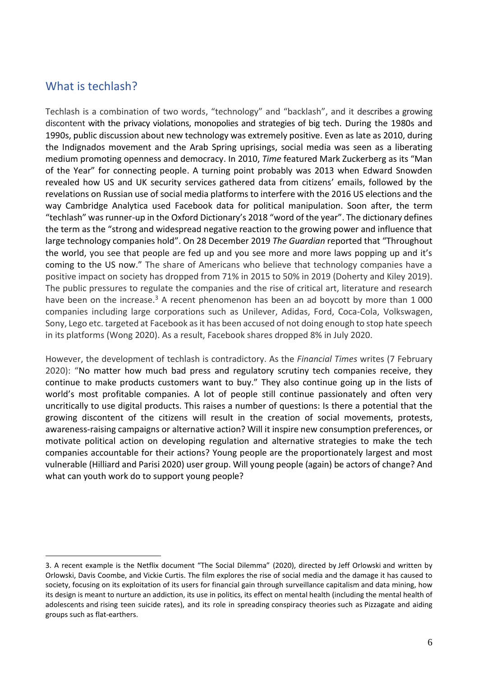# <span id="page-6-0"></span>What is techlash?

Techlash is a combination of two words, "technology" and "backlash", and it describes a growing discontent with the privacy violations, monopolies and strategies of big tech. During the 1980s and 1990s, public discussion about new technology was extremely positive. Even as late as 2010, during the Indignados movement and the Arab Spring uprisings, social media was seen as a liberating medium promoting openness and democracy. In 2010, *Time* featured Mark Zuckerberg as its "Man of the Year" for connecting people. A turning point probably was 2013 when Edward Snowden revealed how US and UK security services gathered data from citizens' emails, followed by the revelations on Russian use of social media platforms to interfere with the 2016 US elections and the way Cambridge Analytica used Facebook data for political manipulation. Soon after, the term "techlash" was runner-up in the Oxford Dictionary's 2018 "word of the year". The dictionary defines the term as the "strong and widespread negative reaction to the growing power and influence that large technology companies hold". On 28 December 2019 *The Guardian* reported that "Throughout the world, you see that people are fed up and you see more and more laws popping up and it's coming to the US now." The share of Americans who believe that technology companies have a positive impact on society has dropped from 71% in 2015 to 50% in 2019 (Doherty and Kiley 2019). The public pressures to regulate the companies and the rise of critical art, literature and research have been on the increase.<sup>3</sup> A recent phenomenon has been an ad boycott by more than 1 000 companies including large corporations such as Unilever, Adidas, Ford, Coca-Cola, Volkswagen, Sony, Lego etc. targeted at Facebook as it has been accused of not doing enough to stop hate speech in its platforms (Wong 2020). As a result, Facebook shares dropped 8% in July 2020.

However, the development of techlash is contradictory. As the *Financial Times* writes (7 February 2020): "No matter how much bad press and regulatory scrutiny tech companies receive, they continue to make products customers want to buy." They also continue going up in the lists of world's most profitable companies. A lot of people still continue passionately and often very uncritically to use digital products. This raises a number of questions: Is there a potential that the growing discontent of the citizens will result in the creation of social movements, protests, awareness-raising campaigns or alternative action? Will it inspire new consumption preferences, or motivate political action on developing regulation and alternative strategies to make the tech companies accountable for their actions? Young people are the proportionately largest and most vulnerable (Hilliard and Parisi 2020) user group. Will young people (again) be actors of change? And what can youth work do to support young people?

<sup>3.</sup> A recent example is the Netflix document "The Social Dilemma" (2020), directed by [Jeff Orlowski](https://en.wikipedia.org/wiki/Jeff_Orlowski) and written by Orlowski, Davis Coombe, and Vickie Curtis. The film explores the rise of [social media](https://en.wikipedia.org/wiki/Social_media) and the damage it has caused to society, focusing on its exploitation of its users for financial gain through [surveillance capitalism](https://en.wikipedia.org/wiki/Surveillance_capitalism) and [data mining,](https://en.wikipedia.org/wiki/Data_mining) how its design is meant to nurture [an addiction,](https://en.wikipedia.org/wiki/Problematic_social_media_use) its [use in politics,](https://en.wikipedia.org/wiki/Social_media_use_in_politics) its [effect on mental health](https://en.wikipedia.org/wiki/Digital_media_use_and_mental_health) (including the [mental health of](https://en.wikipedia.org/wiki/Social_media_and_the_effects_on_American_adolescents)  [adolescents](https://en.wikipedia.org/wiki/Social_media_and_the_effects_on_American_adolescents) and [rising teen suicide rates\)](https://en.wikipedia.org/wiki/Social_media_and_suicide), and its role in spreading [conspiracy theories](https://en.wikipedia.org/wiki/Conspiracy_theories) such as [Pizzagate](https://en.wikipedia.org/wiki/Pizzagate) and aiding groups such as [flat-earthers.](https://en.wikipedia.org/wiki/Modern_flat_Earth_societies)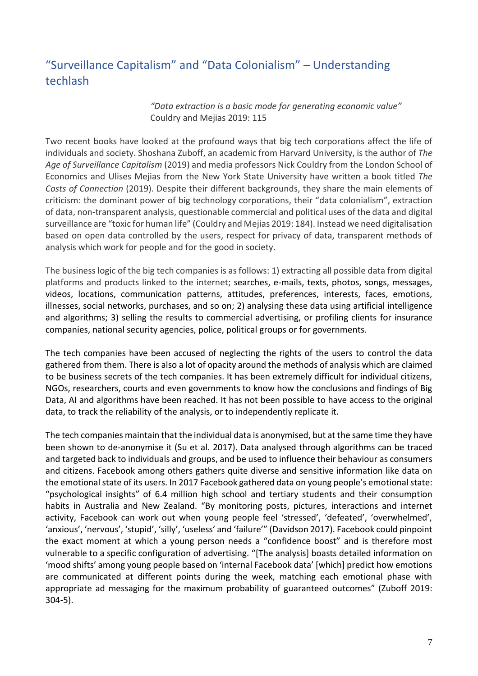# <span id="page-7-0"></span>"Surveillance Capitalism" and "Data Colonialism" – Understanding techlash

*"Data extraction is a basic mode for generating economic value"* Couldry and Mejias 2019: 115

Two recent books have looked at the profound ways that big tech corporations affect the life of individuals and society. Shoshana Zuboff, an academic from Harvard University, is the author of *The Age of Surveillance Capitalism* (2019) and media professors Nick Couldry from the London School of Economics and Ulises Mejias from the New York State University have written a book titled *The Costs of Connection* (2019). Despite their different backgrounds, they share the main elements of criticism: the dominant power of big technology corporations, their "data colonialism", extraction of data, non-transparent analysis, questionable commercial and political uses of the data and digital surveillance are "toxic for human life" (Couldry and Mejias 2019: 184). Instead we need digitalisation based on open data controlled by the users, respect for privacy of data, transparent methods of analysis which work for people and for the good in society.

The business logic of the big tech companies is as follows: 1) extracting all possible data from digital platforms and products linked to the internet; searches, e-mails, texts, photos, songs, messages, videos, locations, communication patterns, attitudes, preferences, interests, faces, emotions, illnesses, social networks, purchases, and so on; 2) analysing these data using artificial intelligence and algorithms; 3) selling the results to commercial advertising, or profiling clients for insurance companies, national security agencies, police, political groups or for governments.

The tech companies have been accused of neglecting the rights of the users to control the data gathered from them. There is also a lot of opacity around the methods of analysis which are claimed to be business secrets of the tech companies. It has been extremely difficult for individual citizens, NGOs, researchers, courts and even governments to know how the conclusions and findings of Big Data, AI and algorithms have been reached. It has not been possible to have access to the original data, to track the reliability of the analysis, or to independently replicate it.

The tech companies maintain that the individual data is anonymised, but at the same time they have been shown to de-anonymise it (Su et al. 2017). Data analysed through algorithms can be traced and targeted back to individuals and groups, and be used to influence their behaviour as consumers and citizens. Facebook among others gathers quite diverse and sensitive information like data on the emotional state of its users. In 2017 Facebook gathered data on young people's emotional state: "psychological insights" of 6.4 million high school and tertiary students and their consumption habits in Australia and New Zealand. "By monitoring posts, pictures, interactions and internet activity, Facebook can work out when young people feel 'stressed', 'defeated', 'overwhelmed', 'anxious', 'nervous', 'stupid', 'silly', 'useless' and 'failure'" (Davidson 2017). Facebook could pinpoint the exact moment at which a young person needs a "confidence boost" and is therefore most vulnerable to a specific configuration of advertising. "[The analysis] boasts detailed information on 'mood shifts' among young people based on 'internal Facebook data' [which] predict how emotions are communicated at different points during the week, matching each emotional phase with appropriate ad messaging for the maximum probability of guaranteed outcomes" (Zuboff 2019: 304-5).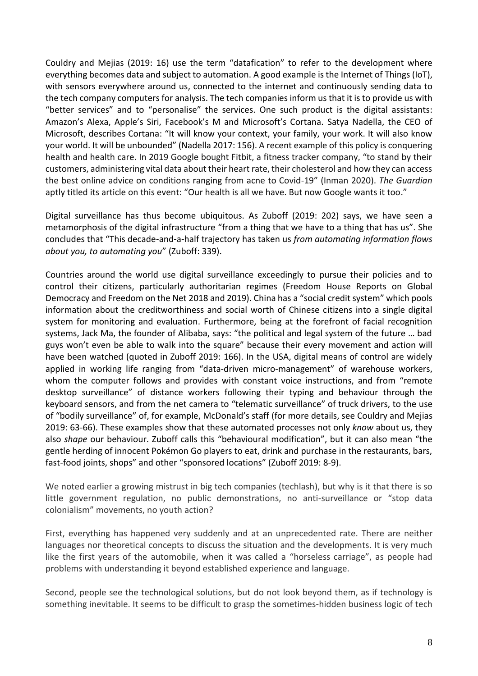Couldry and Mejias (2019: 16) use the term "datafication" to refer to the development where everything becomes data and subject to automation. A good example is the Internet of Things (IoT), with sensors everywhere around us, connected to the internet and continuously sending data to the tech company computers for analysis. The tech companies inform us that it is to provide us with "better services" and to "personalise" the services. One such product is the digital assistants: Amazon's Alexa, Apple's Siri, Facebook's M and Microsoft's Cortana. Satya Nadella, the CEO of Microsoft, describes Cortana: "It will know your context, your family, your work. It will also know your world. It will be unbounded" (Nadella 2017: 156). A recent example of this policy is conquering health and health care. In 2019 Google bought Fitbit, a fitness tracker company, "to stand by their customers, administering vital data about their heart rate, their cholesterol and how they can access the best online advice on conditions ranging from acne to Covid-19" (Inman 2020). *The Guardian* aptly titled its article on this event: "Our health is all we have. But now Google wants it too."

Digital surveillance has thus become ubiquitous. As Zuboff (2019: 202) says, we have seen a metamorphosis of the digital infrastructure "from a thing that we have to a thing that has us". She concludes that "This decade-and-a-half trajectory has taken us *from automating information flows about you, to automating you*" (Zuboff: 339).

Countries around the world use digital surveillance exceedingly to pursue their policies and to control their citizens, particularly authoritarian regimes (Freedom House Reports on Global Democracy and Freedom on the Net 2018 and 2019). China has a "social credit system" which pools information about the creditworthiness and social worth of Chinese citizens into a single digital system for monitoring and evaluation. Furthermore, being at the forefront of facial recognition systems, Jack Ma, the founder of Alibaba, says: "the political and legal system of the future … bad guys won't even be able to walk into the square" because their every movement and action will have been watched (quoted in Zuboff 2019: 166). In the USA, digital means of control are widely applied in working life ranging from "data-driven micro-management" of warehouse workers, whom the computer follows and provides with constant voice instructions, and from "remote desktop surveillance" of distance workers following their typing and behaviour through the keyboard sensors, and from the net camera to "telematic surveillance" of truck drivers, to the use of "bodily surveillance" of, for example, McDonald's staff (for more details, see Couldry and Mejias 2019: 63-66). These examples show that these automated processes not only *know* about us, they also *shape* our behaviour. Zuboff calls this "behavioural modification", but it can also mean "the gentle herding of innocent Pokémon Go players to eat, drink and purchase in the restaurants, bars, fast-food joints, shops" and other "sponsored locations" (Zuboff 2019: 8-9).

We noted earlier a growing mistrust in big tech companies (techlash), but why is it that there is so little government regulation, no public demonstrations, no anti-surveillance or "stop data colonialism" movements, no youth action?

First, everything has happened very suddenly and at an unprecedented rate. There are neither languages nor theoretical concepts to discuss the situation and the developments. It is very much like the first years of the automobile, when it was called a "horseless carriage", as people had problems with understanding it beyond established experience and language.

Second, people see the technological solutions, but do not look beyond them, as if technology is something inevitable. It seems to be difficult to grasp the sometimes-hidden business logic of tech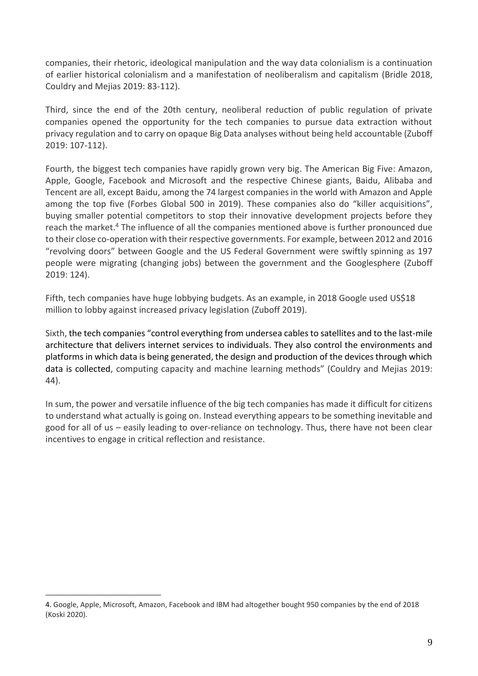companies, their rhetoric, ideological manipulation and the way data colonialism is a continuation of earlier historical colonialism and a manifestation of neoliberalism and capitalism (Bridle 2018, Couldry and Mejias 2019: 83-112).

Third, since the end of the 20th century, neoliberal reduction of public regulation of private companies opened the opportunity for the tech companies to pursue data extraction without privacy regulation and to carry on opaque Big Data analyses without being held accountable (Zuboff 2019: 107-112).

Fourth, the biggest tech companies have rapidly grown very big. The American Big Five: Amazon, Apple, Google, Facebook and Microsoft and the respective Chinese giants, Baidu, Alibaba and Tencent are all, except Baidu, among the 74 largest companies in the world with Amazon and Apple among the top five (Forbes Global 500 in 2019). These companies also do "killer acquisitions", buying smaller potential competitors to stop their innovative development projects before they reach the market.<sup>4</sup> The influence of all the companies mentioned above is further pronounced due to their close co-operation with their respective governments. For example, between 2012 and 2016 "revolving doors" between Google and the US Federal Government were swiftly spinning as 197 people were migrating (changing jobs) between the government and the Googlesphere (Zuboff 2019: 124).

Fifth, tech companies have huge lobbying budgets. As an example, in 2018 Google used US\$18 million to lobby against increased privacy legislation (Zuboff 2019).

Sixth, the tech companies "control everything from undersea cables to satellites and to the last-mile architecture that delivers internet services to individuals. They also control the environments and platforms in which data is being generated, the design and production of the devices through which data is collected, computing capacity and machine learning methods" (Couldry and Mejias 2019: 44).

In sum, the power and versatile influence of the big tech companies has made it difficult for citizens to understand what actually is going on. Instead everything appears to be something inevitable and good for all of us – easily leading to over-reliance on technology. Thus, there have not been clear incentives to engage in critical reflection and resistance.

<sup>4.</sup> Google, Apple, Microsoft, Amazon, Facebook and IBM had altogether bought 950 companies by the end of 2018 (Koski 2020).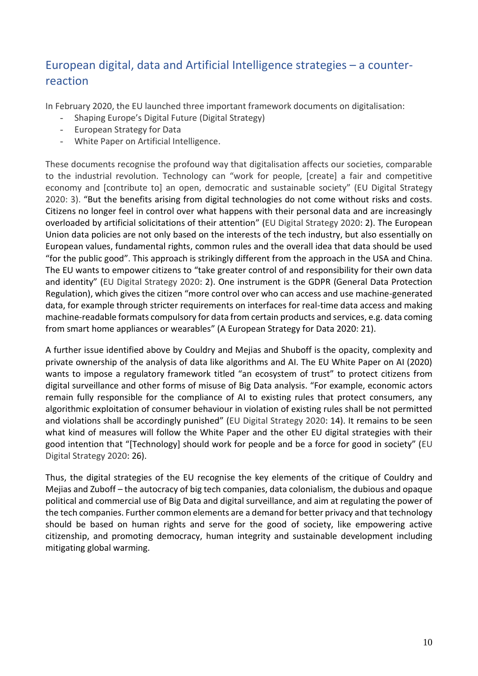# <span id="page-10-0"></span>European digital, data and Artificial Intelligence strategies – a counterreaction

In February 2020, the EU launched three important framework documents on digitalisation:

- Shaping Europe's Digital Future (Digital Strategy)
- European Strategy for Data
- White Paper on Artificial Intelligence.

These documents recognise the profound way that digitalisation affects our societies, comparable to the industrial revolution. Technology can "work for people, [create] a fair and competitive economy and [contribute to] an open, democratic and sustainable society" (EU Digital Strategy 2020: 3). "But the benefits arising from digital technologies do not come without risks and costs. Citizens no longer feel in control over what happens with their personal data and are increasingly overloaded by artificial solicitations of their attention" (EU Digital Strategy 2020: 2). The European Union data policies are not only based on the interests of the tech industry, but also essentially on European values, fundamental rights, common rules and the overall idea that data should be used "for the public good". This approach is strikingly different from the approach in the USA and China. The EU wants to empower citizens to "take greater control of and responsibility for their own data and identity" (EU Digital Strategy 2020: 2). One instrument is the GDPR (General Data Protection Regulation), which gives the citizen "more control over who can access and use machine-generated data, for example through stricter requirements on interfaces for real-time data access and making machine-readable formats compulsory for data from certain products and services, e.g. data coming from smart home appliances or wearables" (A European Strategy for Data 2020: 21).

A further issue identified above by Couldry and Mejias and Shuboff is the opacity, complexity and private ownership of the analysis of data like algorithms and AI. The EU White Paper on AI (2020) wants to impose a regulatory framework titled "an ecosystem of trust" to protect citizens from digital surveillance and other forms of misuse of Big Data analysis. "For example, economic actors remain fully responsible for the compliance of AI to existing rules that protect consumers, any algorithmic exploitation of consumer behaviour in violation of existing rules shall be not permitted and violations shall be accordingly punished" (EU Digital Strategy 2020: 14). It remains to be seen what kind of measures will follow the White Paper and the other EU digital strategies with their good intention that "[Technology] should work for people and be a force for good in society" (EU Digital Strategy 2020: 26).

Thus, the digital strategies of the EU recognise the key elements of the critique of Couldry and Mejias and Zuboff – the autocracy of big tech companies, data colonialism, the dubious and opaque political and commercial use of Big Data and digital surveillance, and aim at regulating the power of the tech companies. Further common elements are a demand for better privacy and that technology should be based on human rights and serve for the good of society, like empowering active citizenship, and promoting democracy, human integrity and sustainable development including mitigating global warming.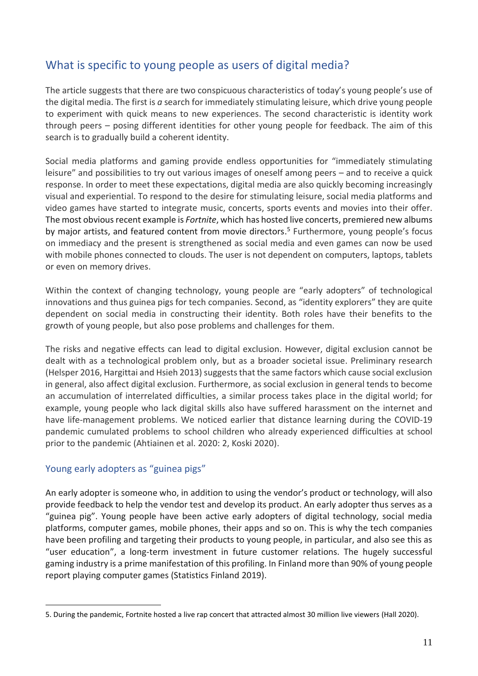# <span id="page-11-0"></span>What is specific to young people as users of digital media?

The article suggests that there are two conspicuous characteristics of today's young people's use of the digital media. The first is *a* search for immediately stimulating leisure, which drive young people to experiment with quick means to new experiences. The second characteristic is identity work through peers – posing different identities for other young people for feedback. The aim of this search is to gradually build a coherent identity.

Social media platforms and gaming provide endless opportunities for "immediately stimulating leisure" and possibilities to try out various images of oneself among peers – and to receive a quick response. In order to meet these expectations, digital media are also quickly becoming increasingly visual and experiential. To respond to the desire for stimulating leisure, social media platforms and video games have started to integrate music, concerts, sports events and movies into their offer. The most obvious recent example is *Fortnite*, which has hosted live concerts, premiered new albums by major artists, and featured content from movie directors. <sup>5</sup> Furthermore, young people's focus on immediacy and the present is strengthened as social media and even games can now be used with mobile phones connected to clouds. The user is not dependent on computers, laptops, tablets or even on memory drives.

Within the context of changing technology, young people are "early adopters" of technological innovations and thus guinea pigs for tech companies. Second, as "identity explorers" they are quite dependent on social media in constructing their identity. Both roles have their benefits to the growth of young people, but also pose problems and challenges for them.

The risks and negative effects can lead to digital exclusion. However, digital exclusion cannot be dealt with as a technological problem only, but as a broader societal issue. Preliminary research (Helsper 2016, Hargittai and Hsieh 2013) suggests that the same factors which cause social exclusion in general, also affect digital exclusion. Furthermore, as social exclusion in general tends to become an accumulation of interrelated difficulties, a similar process takes place in the digital world; for example, young people who lack digital skills also have suffered harassment on the internet and have life-management problems. We noticed earlier that distance learning during the COVID-19 pandemic cumulated problems to school children who already experienced difficulties at school prior to the pandemic (Ahtiainen et al. 2020: 2, Koski 2020).

### <span id="page-11-1"></span>Young early adopters as "guinea pigs"

An early adopter is someone who, in addition to using the vendor's product or technology, will also provide feedback to help the vendor test and develop its product. An early adopter thus serves as a "guinea pig". Young people have been active early adopters of digital technology, social media platforms, computer games, mobile phones, their apps and so on. This is why the tech companies have been profiling and targeting their products to young people, in particular, and also see this as "user education", a long-term investment in future customer relations. The hugely successful gaming industry is a prime manifestation of this profiling. In Finland more than 90% of young people report playing computer games (Statistics Finland 2019).

<sup>5.</sup> During the pandemic, [Fortnite hosted a live rap concert that attracted almost 30 million live viewers](https://www.nbcnews.com/think/opinion/fortnite-s-travis-scott-concert-was-historic-he-s-not-ncna1195686) (Hall 2020).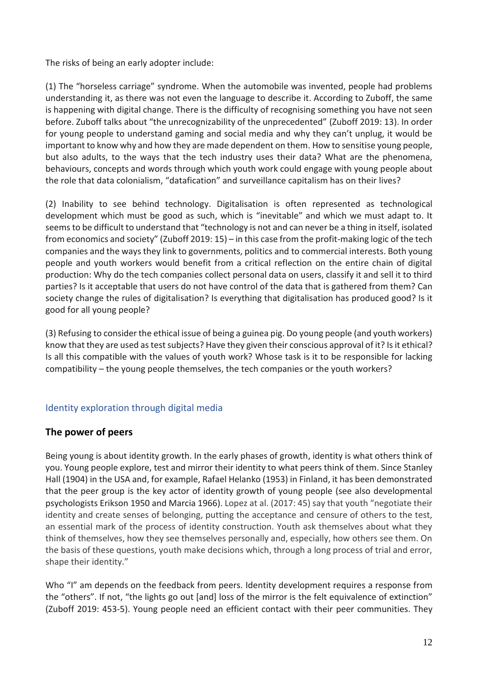The risks of being an early adopter include:

(1) The "horseless carriage" syndrome. When the automobile was invented, people had problems understanding it, as there was not even the language to describe it. According to Zuboff, the same is happening with digital change. There is the difficulty of recognising something you have not seen before. Zuboff talks about "the unrecognizability of the unprecedented" (Zuboff 2019: 13). In order for young people to understand gaming and social media and why they can't unplug, it would be important to know why and how they are made dependent on them. How to sensitise young people, but also adults, to the ways that the tech industry uses their data? What are the phenomena, behaviours, concepts and words through which youth work could engage with young people about the role that data colonialism, "datafication" and surveillance capitalism has on their lives?

(2) Inability to see behind technology. Digitalisation is often represented as technological development which must be good as such, which is "inevitable" and which we must adapt to. It seems to be difficult to understand that "technology is not and can never be a thing in itself, isolated from economics and society" (Zuboff 2019: 15) – in this case from the profit-making logic of the tech companies and the ways they link to governments, politics and to commercial interests. Both young people and youth workers would benefit from a critical reflection on the entire chain of digital production: Why do the tech companies collect personal data on users, classify it and sell it to third parties? Is it acceptable that users do not have control of the data that is gathered from them? Can society change the rules of digitalisation? Is everything that digitalisation has produced good? Is it good for all young people?

(3) Refusing to consider the ethical issue of being a guinea pig. Do young people (and youth workers) know that they are used as test subjects? Have they given their conscious approval of it? Is it ethical? Is all this compatible with the values of youth work? Whose task is it to be responsible for lacking compatibility – the young people themselves, the tech companies or the youth workers?

### <span id="page-12-1"></span><span id="page-12-0"></span>Identity exploration through digital media

### **The power of peers**

Being young is about identity growth. In the early phases of growth, identity is what others think of you. Young people explore, test and mirror their identity to what peers think of them. Since Stanley Hall (1904) in the USA and, for example, Rafael Helanko (1953) in Finland, it has been demonstrated that the peer group is the key actor of identity growth of young people (see also developmental psychologists Erikson 1950 and Marcia 1966). Lopez at al. (2017: 45) say that youth "negotiate their identity and create senses of belonging, putting the acceptance and censure of others to the test, an essential mark of the process of identity construction. Youth ask themselves about what they think of themselves, how they see themselves personally and, especially, how others see them. On the basis of these questions, youth make decisions which, through a long process of trial and error, shape their identity."

Who "I" am depends on the feedback from peers. Identity development requires a response from the "others". If not, "the lights go out [and] loss of the mirror is the felt equivalence of extinction" (Zuboff 2019: 453-5). Young people need an efficient contact with their peer communities. They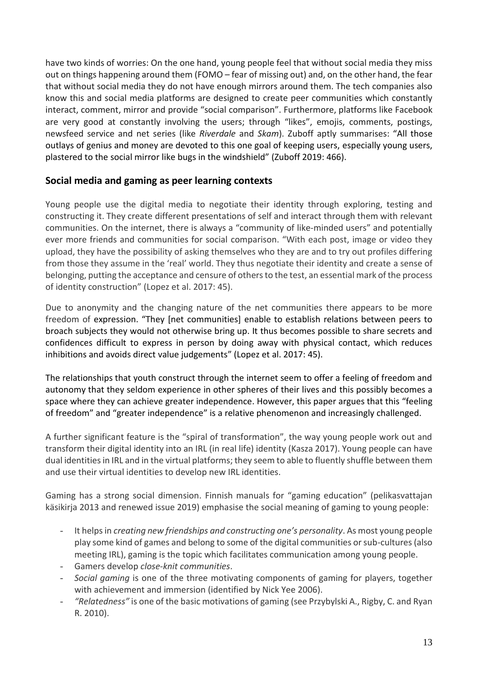have two kinds of worries: On the one hand, young people feel that without social media they miss out on things happening around them (FOMO – fear of missing out) and, on the other hand, the fear that without social media they do not have enough mirrors around them. The tech companies also know this and social media platforms are designed to create peer communities which constantly interact, comment, mirror and provide "social comparison". Furthermore, platforms like Facebook are very good at constantly involving the users; through "likes", emojis, comments, postings, newsfeed service and net series (like *Riverdale* and *Skam*). Zuboff aptly summarises: "All those outlays of genius and money are devoted to this one goal of keeping users, especially young users, plastered to the social mirror like bugs in the windshield" (Zuboff 2019: 466).

## <span id="page-13-0"></span>**Social media and gaming as peer learning contexts**

Young people use the digital media to negotiate their identity through exploring, testing and constructing it. They create different presentations of self and interact through them with relevant communities. On the internet, there is always a "community of like-minded users" and potentially ever more friends and communities for social comparison. "With each post, image or video they upload, they have the possibility of asking themselves who they are and to try out profiles differing from those they assume in the 'real' world. They thus negotiate their identity and create a sense of belonging, putting the acceptance and censure of others to the test, an essential mark of the process of identity construction" (Lopez et al. 2017: 45).

Due to anonymity and the changing nature of the net communities there appears to be more freedom of expression. "They [net communities] enable to establish relations between peers to broach subjects they would not otherwise bring up. It thus becomes possible to share secrets and confidences difficult to express in person by doing away with physical contact, which reduces inhibitions and avoids direct value judgements" (Lopez et al. 2017: 45).

The relationships that youth construct through the internet seem to offer a feeling of freedom and autonomy that they seldom experience in other spheres of their lives and this possibly becomes a space where they can achieve greater independence. However, this paper argues that this "feeling of freedom" and "greater independence" is a relative phenomenon and increasingly challenged.

A further significant feature is the "spiral of transformation", the way young people work out and transform their digital identity into an IRL (in real life) identity (Kasza 2017). Young people can have dual identities in IRL and in the virtual platforms; they seem to able to fluently shuffle between them and use their virtual identities to develop new IRL identities.

Gaming has a strong social dimension. Finnish manuals for "gaming education" (pelikasvattajan käsikirja 2013 and renewed issue 2019) emphasise the social meaning of gaming to young people:

- It helpsin *creating new friendships and constructing one's personality*. As most young people play some kind of games and belong to some of the digital communities or sub-cultures (also meeting IRL), gaming is the topic which facilitates communication among young people.
- Gamers develop *close-knit communities*.
- *Social gaming* is one of the three motivating components of gaming for players, together with achievement and immersion (identified by Nick Yee 2006).
- *"Relatedness"* is one of the basic motivations of gaming (see Przybylski A., Rigby, C. and Ryan R. 2010).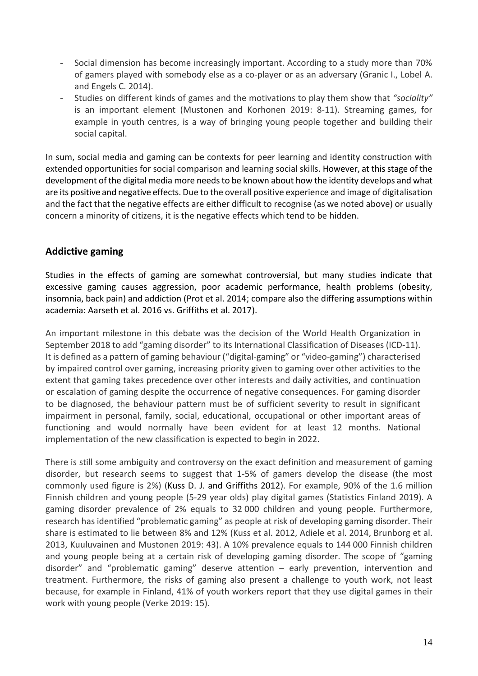- Social dimension has become increasingly important. According to a study more than 70% of gamers played with somebody else as a co-player or as an adversary (Granic I., Lobel A. and Engels C. 2014).
- Studies on different kinds of games and the motivations to play them show that *"sociality"* is an important element (Mustonen and Korhonen 2019: 8-11). Streaming games, for example in youth centres, is a way of bringing young people together and building their social capital.

In sum, social media and gaming can be contexts for peer learning and identity construction with extended opportunities for social comparison and learning social skills. However, at this stage of the development of the digital media more needs to be known about how the identity develops and what are its positive and negative effects. Due to the overall positive experience and image of digitalisation and the fact that the negative effects are either difficult to recognise (as we noted above) or usually concern a minority of citizens, it is the negative effects which tend to be hidden.

### <span id="page-14-0"></span>**Addictive gaming**

Studies in the effects of gaming are somewhat controversial, but many studies indicate that excessive gaming causes aggression, poor academic performance, health problems (obesity, insomnia, back pain) and addiction (Prot et al. 2014; compare also the differing assumptions within academia: Aarseth et al. 2016 vs. Griffiths et al. 2017).

An important milestone in this debate was the decision of the World Health Organization in September 2018 to add "gaming disorder" to its International Classification of Diseases (ICD-11). It is defined as a pattern of gaming behaviour ("digital-gaming" or "video-gaming") characterised by impaired control over gaming, increasing priority given to gaming over other activities to the extent that gaming takes precedence over other interests and daily activities, and continuation or escalation of gaming despite the occurrence of negative consequences. For gaming disorder to be diagnosed, the behaviour pattern must be of sufficient severity to result in significant impairment in personal, family, social, educational, occupational or other important areas of functioning and would normally have been evident for at least 12 months. National implementation of the new classification is expected to begin in 2022.

There is still some ambiguity and controversy on the exact definition and measurement of gaming disorder, but research seems to suggest that 1-5% of gamers develop the disease (the most commonly used figure is 2%) (Kuss D. J. and Griffiths 2012). For example, 90% of the 1.6 million Finnish children and young people (5-29 year olds) play digital games (Statistics Finland 2019). A gaming disorder prevalence of 2% equals to 32 000 children and young people. Furthermore, research has identified "problematic gaming" as people at risk of developing gaming disorder. Their share is estimated to lie between 8% and 12% (Kuss et al. 2012, Adiele et al. 2014, Brunborg et al. 2013, Kuuluvainen and Mustonen 2019: 43). A 10% prevalence equals to 144 000 Finnish children and young people being at a certain risk of developing gaming disorder. The scope of "gaming disorder" and "problematic gaming" deserve attention – early prevention, intervention and treatment. Furthermore, the risks of gaming also present a challenge to youth work, not least because, for example in Finland, 41% of youth workers report that they use digital games in their work with young people (Verke 2019: 15).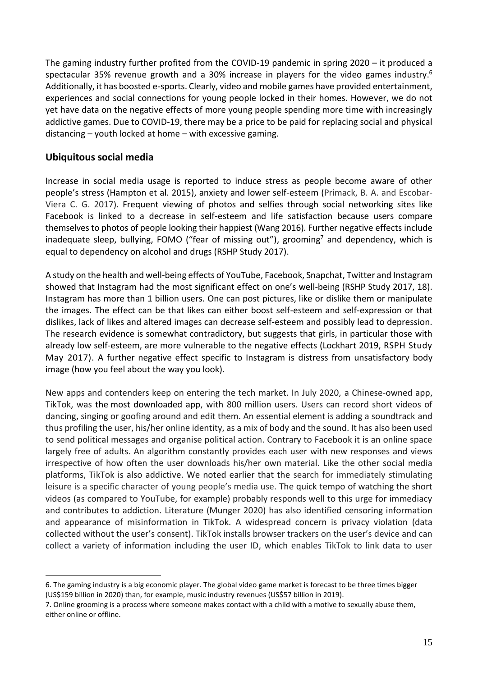The gaming industry further profited from the COVID-19 pandemic in spring 2020 – it produced a spectacular 35% revenue growth and a 30% increase in players for the video games industry.<sup>6</sup> Additionally, it has boosted e-sports. Clearly, video and mobile games have provided entertainment, experiences and social connections for young people locked in their homes. However, we do not yet have data on the negative effects of more young people spending more time with increasingly addictive games. Due to COVID-19, there may be a price to be paid for replacing social and physical distancing – youth locked at home – with excessive gaming.

### <span id="page-15-0"></span>**Ubiquitous social media**

Increase in social media usage is reported to induce stress as people become aware of other people's stress (Hampton et al. 2015), anxiety and lower self-esteem (Primack, B. A. and Escobar-Viera C. G. 2017). Frequent viewing of photos and selfies through social networking sites like Facebook is linked to a decrease in self-esteem and life satisfaction because users compare themselves to photos of people looking their happiest (Wang 2016). Further negative effects include inadequate sleep, bullying, FOMO ("fear of missing out"), grooming<sup>7</sup> and dependency, which is equal to dependency on alcohol and drugs (RSHP Study 2017).

A study on the health and well-being effects of YouTube, Facebook, Snapchat, Twitter and Instagram showed that Instagram had the most significant effect on one's well-being (RSHP Study 2017, 18). Instagram has more than 1 billion users. One can post pictures, like or dislike them or manipulate the images. The effect can be that likes can either boost self-esteem and self-expression or that dislikes, lack of likes and altered images can decrease self-esteem and possibly lead to depression. The research evidence is somewhat contradictory, but suggests that girls, in particular those with already low self-esteem, are more vulnerable to the negative effects (Lockhart 2019, RSPH Study May 2017). A further negative effect specific to Instagram is distress from unsatisfactory body image (how you feel about the way you look).

New apps and contenders keep on entering the tech market. In July 2020, a Chinese-owned app, TikTok, was the [most downloaded app,](https://sensortower.com/blog/top-apps-worldwide-july-2020-by-downloads) with 800 million users. Users can record short videos of dancing, singing or goofing around and edit them. An essential element is adding a soundtrack and thus profiling the user, his/her online identity, as a mix of body and the sound. It has also been used to send political messages and organise political action. Contrary to Facebook it is an online space largely free of adults. An algorithm constantly provides each user with new responses and views irrespective of how often the user downloads his/her own material. Like the other social media platforms, TikTok is also addictive. We noted earlier that the search for immediately stimulating leisure is a specific character of young people's media use. The quick tempo of watching the short videos (as compared to YouTube, for example) probably responds well to this urge for immediacy and contributes to addiction. Literature (Munger 2020) has also identified censoring information and appearance of misinformation in TikTok. A widespread concern is privacy violation (data collected without the user's consent). TikTok installs browser trackers on the user's device and can collect a variety of information including the user ID, which enables TikTok to link data to user

<sup>6.</sup> The gaming industry is a big economic player. The global video game market is forecast to be three times bigger (US\$159 billion in 2020) than, for example, music industry revenues (US\$57 billion in 2019).

<sup>7.</sup> Online grooming is a process where someone makes contact with a child with a motive to sexually abuse them, either online or offline.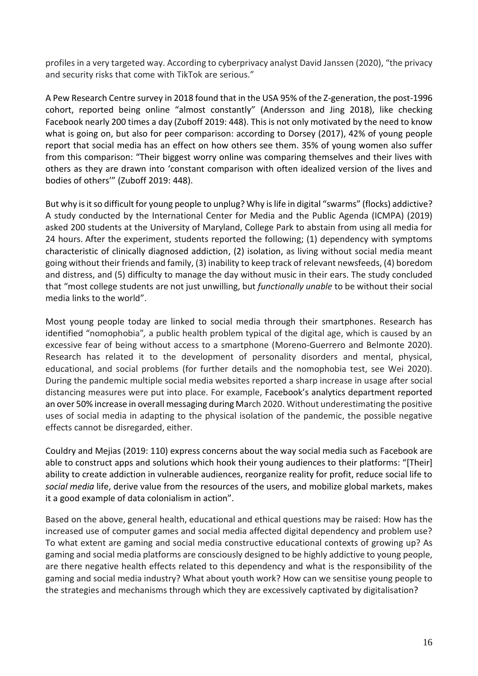profiles in a very targeted way. According to cyberprivacy analyst David Janssen (2020), "the privacy and security risks that come with TikTok are serious."

A Pew Research Centre survey in 2018 found that in the USA 95% of the Z-generation, the post-1996 cohort, reported being online "almost constantly" (Andersson and Jing 2018), like checking Facebook nearly 200 times a day (Zuboff 2019: 448). This is not only motivated by the need to know what is going on, but also for peer comparison: according to Dorsey (2017), 42% of young people report that social media has an effect on how others see them. 35% of young women also suffer from this comparison: "Their biggest worry online was comparing themselves and their lives with others as they are drawn into 'constant comparison with often idealized version of the lives and bodies of others'" (Zuboff 2019: 448).

But why is it so difficult for young people to unplug? Why is life in digital "swarms" (flocks) addictive? A study conducted by the International Center for Media and the Public Agenda (ICMPA) (2019) asked 200 students at the University of Maryland, College Park to abstain from using all media for 24 hours. After the experiment, students reported the following; (1) dependency with symptoms characteristic of clinically diagnosed addiction, (2) isolation, as living without social media meant going without their friends and family, (3) inability to keep track of relevant newsfeeds, (4) boredom and distress, and (5) difficulty to manage the day without music in their ears. The study concluded that "most college students are not just unwilling, but *functionally unable* to be without their social media links to the world".

Most young people today are linked to social media through their smartphones. Research has identified "nomophobia"*,* a public health problem typical of the digital age, which is caused by an excessive fear of being without access to a smartphone (Moreno-Guerrero and Belmonte 2020). Research has related it to the development of personality disorders and mental, physical, educational, and social problems (for further details and the nomophobia test, see Wei 2020). During the pandemic multiple social media websites reported a sharp increase in usage after social distancing measures were put into place. For example, [Facebook](https://en.wikipedia.org/wiki/Facebook)'s analytics department reported an over 50% increase in overall [messaging](https://en.wikipedia.org/wiki/Messaging_apps) during March 2020. Without underestimating the positive uses of social media in adapting to the physical isolation of the pandemic, the possible negative effects cannot be disregarded, either.

Couldry and Mejias (2019: 110) express concerns about the way social media such as Facebook are able to construct apps and solutions which hook their young audiences to their platforms: "[Their] ability to create addiction in vulnerable audiences, reorganize reality for profit, reduce social life to *social media* life, derive value from the resources of the users, and mobilize global markets, makes it a good example of data colonialism in action".

Based on the above, general health, educational and ethical questions may be raised: How has the increased use of computer games and social media affected digital dependency and problem use? To what extent are gaming and social media constructive educational contexts of growing up? As gaming and social media platforms are consciously designed to be highly addictive to young people, are there negative health effects related to this dependency and what is the responsibility of the gaming and social media industry? What about youth work? How can we sensitise young people to the strategies and mechanisms through which they are excessively captivated by digitalisation?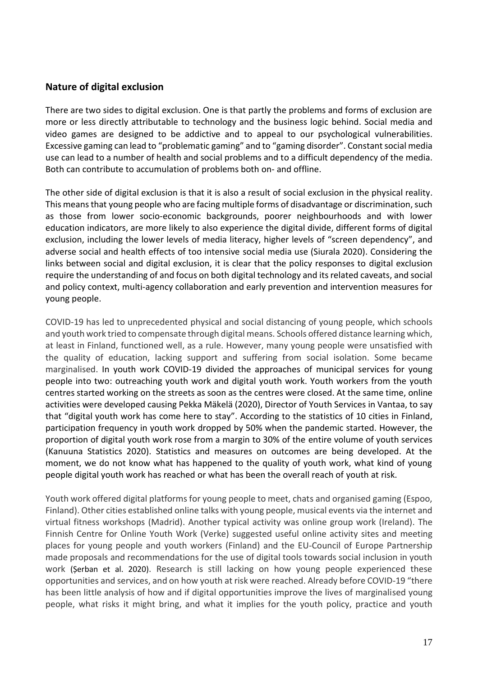#### <span id="page-17-0"></span>**Nature of digital exclusion**

There are two sides to digital exclusion. One is that partly the problems and forms of exclusion are more or less directly attributable to technology and the business logic behind. Social media and video games are designed to be addictive and to appeal to our psychological vulnerabilities. Excessive gaming can lead to "problematic gaming" and to "gaming disorder". Constant social media use can lead to a number of health and social problems and to a difficult dependency of the media. Both can contribute to accumulation of problems both on- and offline.

The other side of digital exclusion is that it is also a result of social exclusion in the physical reality. This means that young people who are facing multiple forms of disadvantage or discrimination, such as those from lower socio-economic backgrounds, poorer neighbourhoods and with lower education indicators, are more likely to also experience the digital divide, different forms of digital exclusion, including the lower levels of media literacy, higher levels of "screen dependency", and adverse social and health effects of too intensive social media use (Siurala 2020). Considering the links between social and digital exclusion, it is clear that the policy responses to digital exclusion require the understanding of and focus on both digital technology and its related caveats, and social and policy context, multi-agency collaboration and early prevention and intervention measures for young people.

COVID-19 has led to unprecedented physical and social distancing of young people, which schools and youth work tried to compensate through digital means. Schools offered distance learning which, at least in Finland, functioned well, as a rule. However, many young people were unsatisfied with the quality of education, lacking support and suffering from social isolation. Some became marginalised. In youth work COVID-19 divided the approaches of municipal services for young people into two: outreaching youth work and digital youth work. Youth workers from the youth centres started working on the streets as soon as the centres were closed. At the same time, online activities were developed causing Pekka Mäkelä (2020), Director of Youth Services in Vantaa, to say that "digital youth work has come here to stay". According to the statistics of 10 cities in Finland, participation frequency in youth work dropped by 50% when the pandemic started. However, the proportion of digital youth work rose from a margin to 30% of the entire volume of youth services (Kanuuna Statistics 2020). Statistics and measures on outcomes are being developed. At the moment, we do not know what has happened to the quality of youth work, what kind of young people digital youth work has reached or what has been the overall reach of youth at risk.

Youth work offered digital platforms for young people to meet, chats and organised gaming (Espoo, Finland). Other cities established online talks with young people, musical events via the internet and virtual fitness workshops (Madrid). Another typical activity was online group work (Ireland). The Finnish Centre for Online Youth Work (Verke) suggested useful online activity sites and meeting places for young people and youth workers (Finland) and the EU-Council of Europe Partnership made proposals and recommendations for the use of digital tools towards social inclusion in youth work (Șerban et al. 2020). Research is still lacking on how young people experienced these opportunities and services, and on how youth at risk were reached. Already before COVID-19 "there has been little analysis of how and if digital opportunities improve the lives of marginalised young people, what risks it might bring, and what it implies for the youth policy, practice and youth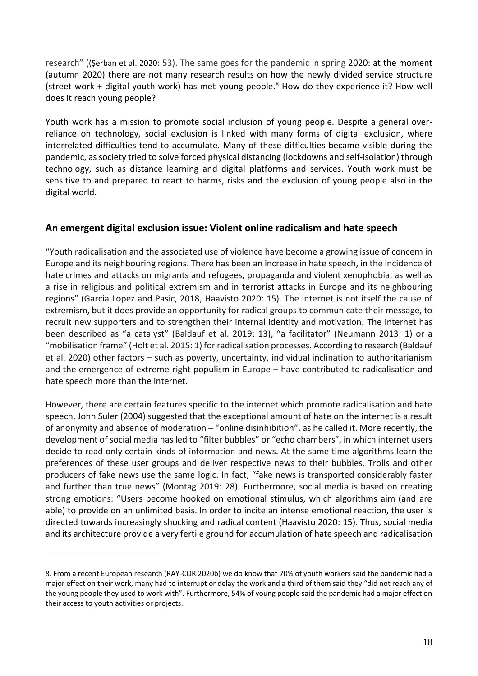research" ((Șerban et al. 2020: 53). The same goes for the pandemic in spring 2020: at the moment (autumn 2020) there are not many research results on how the newly divided service structure (street work + digital youth work) has met young people. <sup>8</sup> How do they experience it? How well does it reach young people?

Youth work has a mission to promote social inclusion of young people. Despite a general overreliance on technology, social exclusion is linked with many forms of digital exclusion, where interrelated difficulties tend to accumulate. Many of these difficulties became visible during the pandemic, as society tried to solve forced physical distancing (lockdowns and self-isolation) through technology, such as distance learning and digital platforms and services. Youth work must be sensitive to and prepared to react to harms, risks and the exclusion of young people also in the digital world.

### <span id="page-18-0"></span>**An emergent digital exclusion issue: Violent online radicalism and hate speech**

"Youth radicalisation and the associated use of violence have become a growing issue of concern in Europe and its neighbouring regions. There has been an increase in hate speech, in the incidence of hate crimes and attacks on migrants and refugees, propaganda and violent xenophobia, as well as a rise in religious and political extremism and in terrorist attacks in Europe and its neighbouring regions" (Garcia Lopez and Pasic, 2018, Haavisto 2020: 15). The internet is not itself the cause of extremism, but it does provide an opportunity for radical groups to communicate their message, to recruit new supporters and to strengthen their internal identity and motivation. The internet has been described as "a catalyst" (Baldauf et al. 2019: 13), "a facilitator" (Neumann 2013: 1) or a "mobilisation frame" (Holt et al. 2015: 1) for radicalisation processes. According to research (Baldauf et al. 2020) other factors – such as poverty, uncertainty, individual inclination to authoritarianism and the emergence of extreme-right populism in Europe – have contributed to radicalisation and hate speech more than the internet.

However, there are certain features specific to the internet which promote radicalisation and hate speech. John Suler (2004) suggested that the exceptional amount of hate on the internet is a result of anonymity and absence of moderation – "online disinhibition", as he called it. More recently, the development of social media has led to "filter bubbles" or "echo chambers", in which internet users decide to read only certain kinds of information and news. At the same time algorithms learn the preferences of these user groups and deliver respective news to their bubbles. Trolls and other producers of fake news use the same logic. In fact, "fake news is transported considerably faster and further than true news" (Montag 2019: 28). Furthermore, social media is based on creating strong emotions: "Users become hooked on emotional stimulus, which algorithms aim (and are able) to provide on an unlimited basis. In order to incite an intense emotional reaction, the user is directed towards increasingly shocking and radical content (Haavisto 2020: 15). Thus, social media and its architecture provide a very fertile ground for accumulation of hate speech and radicalisation

<sup>8.</sup> From a recent European research (RAY-COR 2020b) we do know that 70% of youth workers said the pandemic had a major effect on their work, many had to interrupt or delay the work and a third of them said they "did not reach any of the young people they used to work with". Furthermore, 54% of young people said the pandemic had a major effect on their access to youth activities or projects.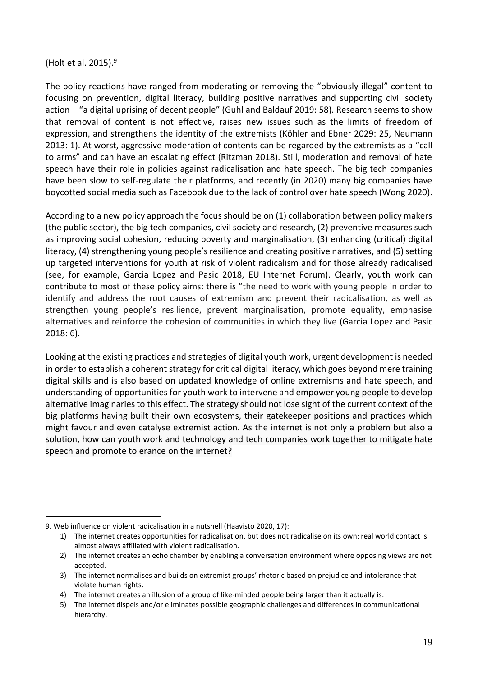(Holt et al. 2015). 9

The policy reactions have ranged from moderating or removing the "obviously illegal" content to focusing on prevention, digital literacy, building positive narratives and supporting civil society action – "a digital uprising of decent people" (Guhl and Baldauf 2019: 58). Research seems to show that removal of content is not effective, raises new issues such as the limits of freedom of expression, and strengthens the identity of the extremists (Köhler and Ebner 2029: 25, Neumann 2013: 1). At worst, aggressive moderation of contents can be regarded by the extremists as a "call to arms" and can have an escalating effect (Ritzman 2018). Still, moderation and removal of hate speech have their role in policies against radicalisation and hate speech. The big tech companies have been slow to self-regulate their platforms, and recently (in 2020) many big companies have boycotted social media such as Facebook due to the lack of control over hate speech (Wong 2020).

According to a new policy approach the focus should be on (1) collaboration between policy makers (the public sector), the big tech companies, civil society and research, (2) preventive measures such as improving social cohesion, reducing poverty and marginalisation, (3) enhancing (critical) digital literacy, (4) strengthening young people's resilience and creating positive narratives, and (5) setting up targeted interventions for youth at risk of violent radicalism and for those already radicalised (see, for example, Garcia Lopez and Pasic 2018, EU Internet Forum). Clearly, youth work can contribute to most of these policy aims: there is "the need to work with young people in order to identify and address the root causes of extremism and prevent their radicalisation, as well as strengthen young people's resilience, prevent marginalisation, promote equality, emphasise alternatives and reinforce the cohesion of communities in which they live (Garcia Lopez and Pasic 2018: 6).

Looking at the existing practices and strategies of digital youth work, urgent development is needed in order to establish a coherent strategy for critical digital literacy, which goes beyond mere training digital skills and is also based on updated knowledge of online extremisms and hate speech, and understanding of opportunities for youth work to intervene and empower young people to develop alternative imaginaries to this effect. The strategy should not lose sight of the current context of the big platforms having built their own ecosystems, their gatekeeper positions and practices which might favour and even catalyse extremist action. As the internet is not only a problem but also a solution, how can youth work and technology and tech companies work together to mitigate hate speech and promote tolerance on the internet?

<sup>9.</sup> Web influence on violent radicalisation in a nutshell (Haavisto 2020, 17):

<sup>1)</sup> The internet creates opportunities for radicalisation, but does not radicalise on its own: real world contact is almost always affiliated with violent radicalisation.

<sup>2)</sup> The internet creates an echo chamber by enabling a conversation environment where opposing views are not accepted.

<sup>3)</sup> The internet normalises and builds on extremist groups' rhetoric based on prejudice and intolerance that violate human rights.

<sup>4)</sup> The internet creates an illusion of a group of like-minded people being larger than it actually is.

<sup>5)</sup> The internet dispels and/or eliminates possible geographic challenges and differences in communicational hierarchy.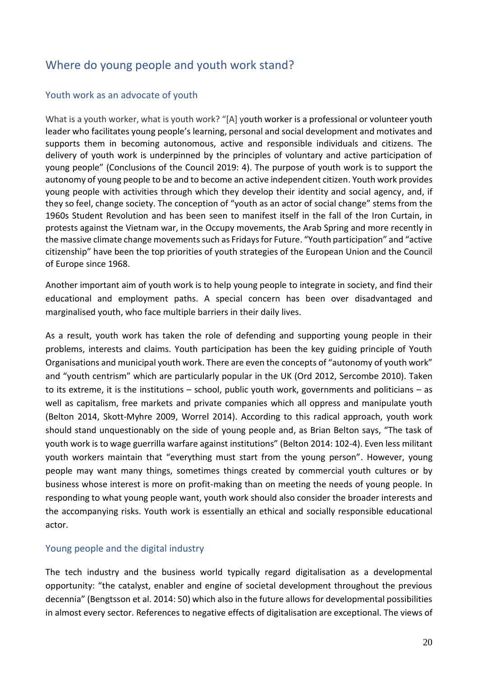# <span id="page-20-0"></span>Where do young people and youth work stand?

#### <span id="page-20-1"></span>Youth work as an advocate of youth

What is a youth worker, what is youth work? "[A] youth worker is a professional or volunteer youth leader who facilitates young people's learning, personal and social development and motivates and supports them in becoming autonomous, active and responsible individuals and citizens. The delivery of youth work is underpinned by the principles of voluntary and active participation of young people" (Conclusions of the Council 2019: 4). The purpose of youth work is to support the autonomy of young people to be and to become an active independent citizen. Youth work provides young people with activities through which they develop their identity and social agency, and, if they so feel, change society. The conception of "youth as an actor of social change" stems from the 1960s Student Revolution and has been seen to manifest itself in the fall of the Iron Curtain, in protests against the Vietnam war, in the Occupy movements, the Arab Spring and more recently in the massive climate change movements such as Fridays for Future. "Youth participation" and "active citizenship" have been the top priorities of youth strategies of the European Union and the Council of Europe since 1968.

Another important aim of youth work is to help young people to integrate in society, and find their educational and employment paths. A special concern has been over disadvantaged and marginalised youth, who face multiple barriers in their daily lives.

As a result, youth work has taken the role of defending and supporting young people in their problems, interests and claims. Youth participation has been the key guiding principle of Youth Organisations and municipal youth work. There are even the concepts of "autonomy of youth work" and "youth centrism" which are particularly popular in the UK (Ord 2012, Sercombe 2010). Taken to its extreme, it is the institutions – school, public youth work, governments and politicians – as well as capitalism, free markets and private companies which all oppress and manipulate youth (Belton 2014, Skott-Myhre 2009, Worrel 2014). According to this radical approach, youth work should stand unquestionably on the side of young people and, as Brian Belton says, "The task of youth work is to wage guerrilla warfare against institutions" (Belton 2014: 102-4). Even less militant youth workers maintain that "everything must start from the young person". However, young people may want many things, sometimes things created by commercial youth cultures or by business whose interest is more on profit-making than on meeting the needs of young people. In responding to what young people want, youth work should also consider the broader interests and the accompanying risks. Youth work is essentially an ethical and socially responsible educational actor.

#### <span id="page-20-2"></span>Young people and the digital industry

The tech industry and the business world typically regard digitalisation as a developmental opportunity: "the catalyst, enabler and engine of societal development throughout the previous decennia" (Bengtsson et al. 2014: 50) which also in the future allows for developmental possibilities in almost every sector. References to negative effects of digitalisation are exceptional. The views of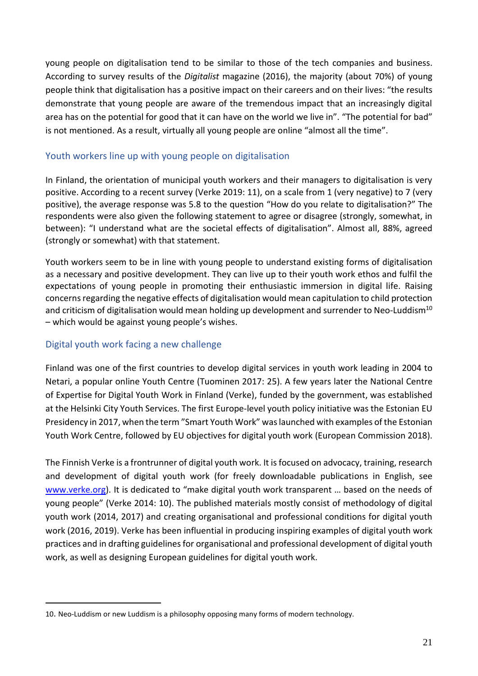young people on digitalisation tend to be similar to those of the tech companies and business. According to survey results of the *Digitalist* magazine (2016), the majority (about 70%) of young people think that digitalisation has a positive impact on their careers and on their lives: "the results demonstrate that young people are aware of the tremendous impact that an increasingly digital area has on the potential for good that it can have on the world we live in". "The potential for bad" is not mentioned. As a result, virtually all young people are online "almost all the time".

#### <span id="page-21-0"></span>Youth workers line up with young people on digitalisation

In Finland, the orientation of municipal youth workers and their managers to digitalisation is very positive. According to a recent survey (Verke 2019: 11), on a scale from 1 (very negative) to 7 (very positive), the average response was 5.8 to the question "How do you relate to digitalisation?" The respondents were also given the following statement to agree or disagree (strongly, somewhat, in between): "I understand what are the societal effects of digitalisation". Almost all, 88%, agreed (strongly or somewhat) with that statement.

Youth workers seem to be in line with young people to understand existing forms of digitalisation as a necessary and positive development. They can live up to their youth work ethos and fulfil the expectations of young people in promoting their enthusiastic immersion in digital life. Raising concerns regarding the negative effects of digitalisation would mean capitulation to child protection and criticism of digitalisation would mean holding up development and surrender to Neo-Luddism<sup>10</sup> – which would be against young people's wishes.

### <span id="page-21-1"></span>Digital youth work facing a new challenge

Finland was one of the first countries to develop digital services in youth work leading in 2004 to Netari, a popular online Youth Centre (Tuominen 2017: 25). A few years later the National Centre of Expertise for Digital Youth Work in Finland (Verke), funded by the government, was established at the Helsinki City Youth Services. The first Europe-level youth policy initiative was the Estonian EU Presidency in 2017, when the term "Smart Youth Work" was launched with examples of the Estonian Youth Work Centre, followed by EU objectives for digital youth work (European Commission 2018).

The Finnish Verke is a frontrunner of digital youth work. It is focused on advocacy, training, research and development of digital youth work (for freely downloadable publications in English, see [www.verke.org\).](http://www.verke.org)/) It is dedicated to "make digital youth work transparent ... based on the needs of young people" (Verke 2014: 10). The published materials mostly consist of methodology of digital youth work (2014, 2017) and creating organisational and professional conditions for digital youth work (2016, 2019). Verke has been influential in producing inspiring examples of digital youth work practices and in drafting guidelines for organisational and professional development of digital youth work, as well as designing European guidelines for digital youth work.

<sup>10</sup>. Neo-Luddism or new Luddism is a philosophy opposing many forms of modern technology.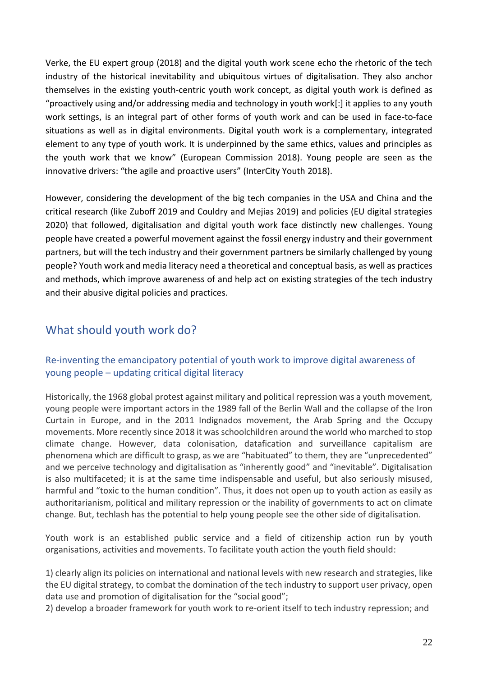Verke, the EU expert group (2018) and the digital youth work scene echo the rhetoric of the tech industry of the historical inevitability and ubiquitous virtues of digitalisation. They also anchor themselves in the existing youth-centric youth work concept, as digital youth work is defined as "proactively using and/or addressing media and technology in youth work[:] it applies to any youth work settings, is an integral part of other forms of youth work and can be used in face-to-face situations as well as in digital environments. Digital youth work is a complementary, integrated element to any type of youth work. It is underpinned by the same ethics, values and principles as the youth work that we know" (European Commission 2018). Young people are seen as the innovative drivers: "the agile and proactive users" (InterCity Youth 2018).

However, considering the development of the big tech companies in the USA and China and the critical research (like Zuboff 2019 and Couldry and Mejias 2019) and policies (EU digital strategies 2020) that followed, digitalisation and digital youth work face distinctly new challenges. Young people have created a powerful movement against the fossil energy industry and their government partners, but will the tech industry and their government partners be similarly challenged by young people? Youth work and media literacy need a theoretical and conceptual basis, as well as practices and methods, which improve awareness of and help act on existing strategies of the tech industry and their abusive digital policies and practices.

# <span id="page-22-0"></span>What should youth work do?

## <span id="page-22-1"></span>Re-inventing the emancipatory potential of youth work to improve digital awareness of young people – updating critical digital literacy

Historically, the 1968 global protest against military and political repression was a youth movement, young people were important actors in the 1989 fall of the Berlin Wall and the collapse of the Iron Curtain in Europe, and in the 2011 Indignados movement, the Arab Spring and the Occupy movements. More recently since 2018 it was schoolchildren around the world who marched to stop climate change. However, data colonisation, datafication and surveillance capitalism are phenomena which are difficult to grasp, as we are "habituated" to them, they are "unprecedented" and we perceive technology and digitalisation as "inherently good" and "inevitable". Digitalisation is also multifaceted; it is at the same time indispensable and useful, but also seriously misused, harmful and "toxic to the human condition". Thus, it does not open up to youth action as easily as authoritarianism, political and military repression or the inability of governments to act on climate change. But, techlash has the potential to help young people see the other side of digitalisation.

Youth work is an established public service and a field of citizenship action run by youth organisations, activities and movements. To facilitate youth action the youth field should:

1) clearly align its policies on international and national levels with new research and strategies, like the EU digital strategy, to combat the domination of the tech industry to support user privacy, open data use and promotion of digitalisation for the "social good";

2) develop a broader framework for youth work to re-orient itself to tech industry repression; and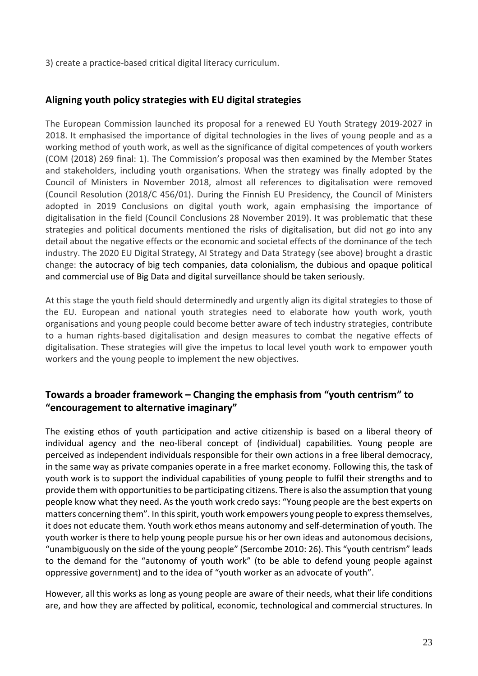3) create a practice-based critical digital literacy curriculum.

## <span id="page-23-0"></span>**Aligning youth policy strategies with EU digital strategies**

The European Commission launched its proposal for a renewed EU Youth Strategy 2019-2027 in 2018. It emphasised the importance of digital technologies in the lives of young people and as a working method of youth work, as well as the significance of digital competences of youth workers (COM (2018) 269 final: 1). The Commission's proposal was then examined by the Member States and stakeholders, including youth organisations. When the strategy was finally adopted by the Council of Ministers in November 2018, almost all references to digitalisation were removed (Council Resolution (2018/C 456/01). During the Finnish EU Presidency, the Council of Ministers adopted in 2019 Conclusions on digital youth work, again emphasising the importance of digitalisation in the field (Council Conclusions 28 November 2019). It was problematic that these strategies and political documents mentioned the risks of digitalisation, but did not go into any detail about the negative effects or the economic and societal effects of the dominance of the tech industry. The 2020 EU Digital Strategy, AI Strategy and Data Strategy (see above) brought a drastic change: the autocracy of big tech companies, data colonialism, the dubious and opaque political and commercial use of Big Data and digital surveillance should be taken seriously.

At this stage the youth field should determinedly and urgently align its digital strategies to those of the EU. European and national youth strategies need to elaborate how youth work, youth organisations and young people could become better aware of tech industry strategies, contribute to a human rights-based digitalisation and design measures to combat the negative effects of digitalisation. These strategies will give the impetus to local level youth work to empower youth workers and the young people to implement the new objectives.

## <span id="page-23-1"></span>**Towards a broader framework – Changing the emphasis from "youth centrism" to "encouragement to alternative imaginary"**

The existing ethos of youth participation and active citizenship is based on a liberal theory of individual agency and the neo-liberal concept of (individual) capabilities*.* Young people are perceived as independent individuals responsible for their own actions in a free liberal democracy, in the same way as private companies operate in a free market economy. Following this, the task of youth work is to support the individual capabilities of young people to fulfil their strengths and to provide them with opportunities to be participating citizens. There is also the assumption that young people know what they need. As the youth work credo says: "Young people are the best experts on matters concerning them". In this spirit, youth work empowers young people to express themselves, it does not educate them. Youth work ethos means autonomy and self-determination of youth. The youth worker is there to help young people pursue his or her own ideas and autonomous decisions, "unambiguously on the side of the young people" (Sercombe 2010: 26). This "youth centrism" leads to the demand for the "autonomy of youth work" (to be able to defend young people against oppressive government) and to the idea of "youth worker as an advocate of youth".

However, all this works as long as young people are aware of their needs, what their life conditions are, and how they are affected by political, economic, technological and commercial structures. In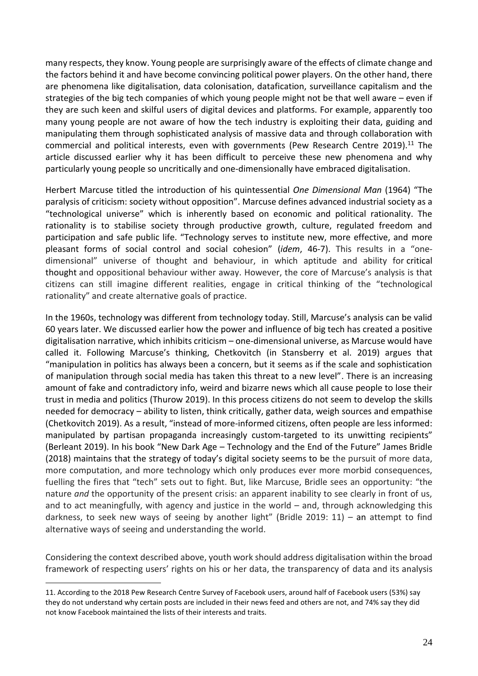many respects, they know. Young people are surprisingly aware of the effects of climate change and the factors behind it and have become convincing political power players. On the other hand, there are phenomena like digitalisation, data colonisation, datafication, surveillance capitalism and the strategies of the big tech companies of which young people might not be that well aware – even if they are such keen and skilful users of digital devices and platforms. For example, apparently too many young people are not aware of how the tech industry is exploiting their data, guiding and manipulating them through sophisticated analysis of massive data and through collaboration with commercial and political interests, even with governments (Pew Research Centre 2019).<sup>11</sup> The article discussed earlier why it has been difficult to perceive these new phenomena and why particularly young people so uncritically and one-dimensionally have embraced digitalisation.

Herbert Marcuse titled the introduction of his quintessential *One Dimensional Man* (1964) "The paralysis of criticism: society without opposition". Marcuse defines advanced industrial society as a "technological universe" which is inherently based on economic and political rationality. The rationality is to stabilise society through productive growth, culture, regulated freedom and participation and safe public life. "Technology serves to institute new, more effective, and more pleasant forms of social control and social cohesion" (*idem*, 46-7). This results in a "onedimensional" universe of thought and behaviour, in which aptitude and ability for [critical](https://en.wikipedia.org/wiki/Critical_thinking)  [thought](https://en.wikipedia.org/wiki/Critical_thinking) and oppositional behaviour wither away. However, the core of Marcuse's analysis is that citizens can still imagine different realities, engage in critical thinking of the "technological rationality" and create alternative goals of practice.

In the 1960s, technology was different from technology today. Still, Marcuse's analysis can be valid 60 years later. We discussed earlier how the power and influence of big tech has created a positive digitalisation narrative, which inhibits criticism – one-dimensional universe, as Marcuse would have called it. Following Marcuse's thinking, Chetkovitch (in Stansberry et al. 2019) argues that "manipulation in politics has always been a concern, but it seems as if the scale and sophistication of manipulation through social media has taken this threat to a new level". There is an increasing amount of fake and contradictory info, weird and bizarre news which all cause people to lose their trust in media and politics (Thurow 2019). In this process citizens do not seem to develop the skills needed for democracy – ability to listen, think critically, gather data, weigh sources and empathise (Chetkovitch 2019). As a result, "instead of more-informed citizens, often people are less informed: manipulated by partisan propaganda increasingly custom-targeted to its unwitting recipients" (Berleant 2019). In his book "New Dark Age – Technology and the End of the Future" James Bridle (2018) maintains that the strategy of today's digital society seems to be the pursuit of more data, more computation, and more technology which only produces ever more morbid consequences, fuelling the fires that "tech" sets out to fight. But, like Marcuse, Bridle sees an opportunity: "the nature *and* the opportunity of the present crisis: an apparent inability to see clearly in front of us, and to act meaningfully, with agency and justice in the world  $-$  and, through acknowledging this darkness, to seek new ways of seeing by another light" (Bridle 2019: 11) – an attempt to find alternative ways of seeing and understanding the world.

Considering the context described above, youth work should address digitalisation within the broad framework of respecting users' rights on his or her data, the transparency of data and its analysis

<sup>11.</sup> According to the 2018 Pew Research Centre Survey of Facebook users, around half of Facebook users (53%) say they do not understand why certain posts are included in their news feed and others are not, and 74% say they did not know Facebook maintained the lists of their interests and traits.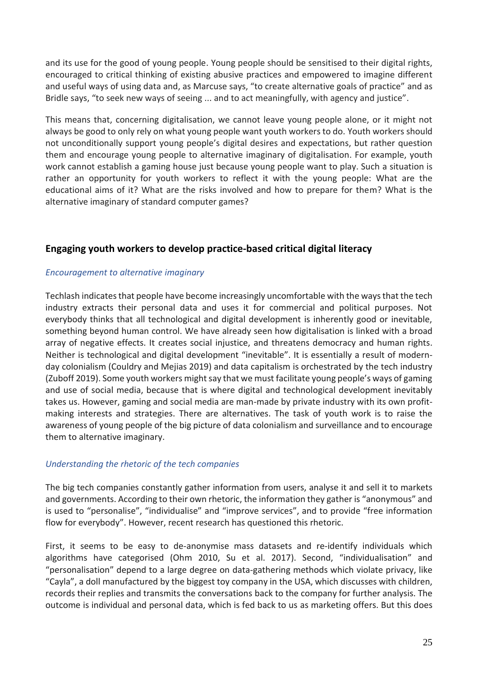and its use for the good of young people. Young people should be sensitised to their digital rights, encouraged to critical thinking of existing abusive practices and empowered to imagine different and useful ways of using data and, as Marcuse says, "to create alternative goals of practice" and as Bridle says, "to seek new ways of seeing ... and to act meaningfully, with agency and justice".

This means that, concerning digitalisation, we cannot leave young people alone, or it might not always be good to only rely on what young people want youth workers to do. Youth workers should not unconditionally support young people's digital desires and expectations, but rather question them and encourage young people to alternative imaginary of digitalisation. For example, youth work cannot establish a gaming house just because young people want to play. Such a situation is rather an opportunity for youth workers to reflect it with the young people: What are the educational aims of it? What are the risks involved and how to prepare for them? What is the alternative imaginary of standard computer games?

## <span id="page-25-0"></span>**Engaging youth workers to develop practice-based critical digital literacy**

#### *Encouragement to alternative imaginary*

Techlash indicates that people have become increasingly uncomfortable with the ways that the tech industry extracts their personal data and uses it for commercial and political purposes. Not everybody thinks that all technological and digital development is inherently good or inevitable, something beyond human control. We have already seen how digitalisation is linked with a broad array of negative effects. It creates social injustice, and threatens democracy and human rights. Neither is technological and digital development "inevitable". It is essentially a result of modernday colonialism (Couldry and Mejias 2019) and data capitalism is orchestrated by the tech industry (Zuboff 2019). Some youth workers might say that we must facilitate young people's ways of gaming and use of social media, because that is where digital and technological development inevitably takes us. However, gaming and social media are man-made by private industry with its own profitmaking interests and strategies. There are alternatives. The task of youth work is to raise the awareness of young people of the big picture of data colonialism and surveillance and to encourage them to alternative imaginary.

#### *Understanding the rhetoric of the tech companies*

The big tech companies constantly gather information from users, analyse it and sell it to markets and governments. According to their own rhetoric, the information they gather is "anonymous" and is used to "personalise", "individualise" and "improve services", and to provide "free information flow for everybody". However, recent research has questioned this rhetoric.

First, it seems to be easy to de-anonymise mass datasets and re-identify individuals which algorithms have categorised (Ohm 2010, Su et al. 2017). Second, "individualisation" and "personalisation" depend to a large degree on data-gathering methods which violate privacy, like "Cayla", a doll manufactured by the biggest toy company in the USA, which discusses with children, records their replies and transmits the conversations back to the company for further analysis. The outcome is individual and personal data, which is fed back to us as marketing offers. But this does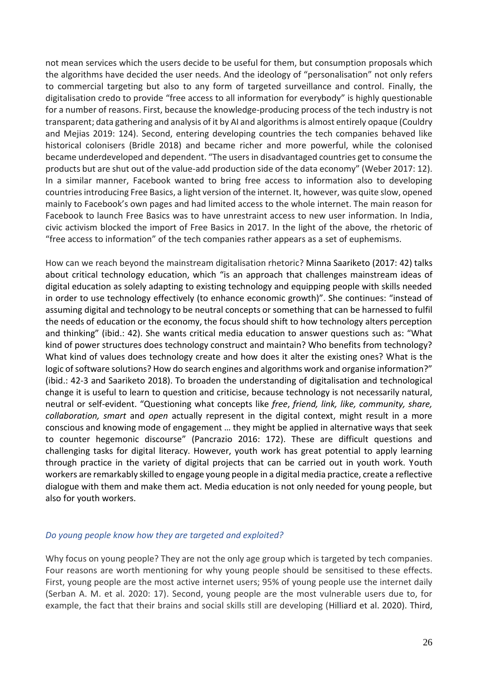not mean services which the users decide to be useful for them, but consumption proposals which the algorithms have decided the user needs. And the ideology of "personalisation" not only refers to commercial targeting but also to any form of targeted surveillance and control. Finally, the digitalisation credo to provide "free access to all information for everybody" is highly questionable for a number of reasons. First, because the knowledge-producing process of the tech industry is not transparent; data gathering and analysis of it by AI and algorithmsis almost entirely opaque (Couldry and Mejias 2019: 124). Second, entering developing countries the tech companies behaved like historical colonisers (Bridle 2018) and became richer and more powerful, while the colonised became underdeveloped and dependent. "The users in disadvantaged countries get to consume the products but are shut out of the value-add production side of the data economy" (Weber 2017: 12). In a similar manner, Facebook wanted to bring free access to information also to developing countries introducing Free Basics, a light version of the internet. It, however, was quite slow, opened mainly to Facebook's own pages and had limited access to the whole internet. The main reason for Facebook to launch Free Basics was to have unrestraint access to new user information. In India, civic activism blocked the import of Free Basics in 2017. In the light of the above, the rhetoric of "free access to information" of the tech companies rather appears as a set of euphemisms.

How can we reach beyond the mainstream digitalisation rhetoric? Minna Saariketo (2017: 42) talks about critical technology education, which "is an approach that challenges mainstream ideas of digital education as solely adapting to existing technology and equipping people with skills needed in order to use technology effectively (to enhance economic growth)". She continues: "instead of assuming digital and technology to be neutral concepts or something that can be harnessed to fulfil the needs of education or the economy, the focus should shift to how technology alters perception and thinking" (ibid.: 42). She wants critical media education to answer questions such as: "What kind of power structures does technology construct and maintain? Who benefits from technology? What kind of values does technology create and how does it alter the existing ones? What is the logic of software solutions? How do search engines and algorithms work and organise information?" (ibid.: 42-3 and Saariketo 2018). To broaden the understanding of digitalisation and technological change it is useful to learn to question and criticise, because technology is not necessarily natural, neutral or self-evident. "Questioning what concepts like *free*, *friend, link, like, community, share, collaboration, smart* and *open* actually represent in the digital context, might result in a more conscious and knowing mode of engagement … they might be applied in alternative ways that seek to counter hegemonic discourse" (Pancrazio 2016: 172). These are difficult questions and challenging tasks for digital literacy. However, youth work has great potential to apply learning through practice in the variety of digital projects that can be carried out in youth work. Youth workers are remarkably skilled to engage young people in a digital media practice, create a reflective dialogue with them and make them act. Media education is not only needed for young people, but also for youth workers.

#### *Do young people know how they are targeted and exploited?*

Why focus on young people? They are not the only age group which is targeted by tech companies. Four reasons are worth mentioning for why young people should be sensitised to these effects. First, young people are the most active internet users; 95% of young people use the internet daily (Serban A. M. et al. 2020: 17). Second, young people are the most vulnerable users due to, for example, the fact that their brains and social skills still are developing (Hilliard et al. 2020). Third,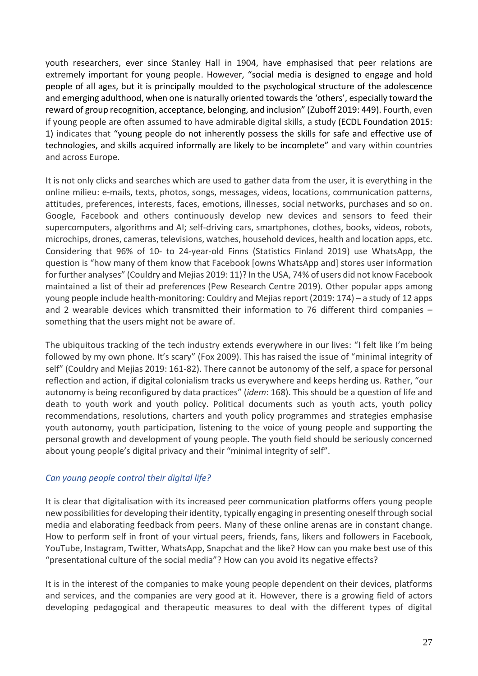youth researchers, ever since Stanley Hall in 1904, have emphasised that peer relations are extremely important for young people. However, "social media is designed to engage and hold people of all ages, but it is principally moulded to the psychological structure of the adolescence and emerging adulthood, when one is naturally oriented towards the 'others', especially toward the reward of group recognition, acceptance, belonging, and inclusion" (Zuboff 2019: 449). Fourth, even if young people are often assumed to have admirable digital skills, a study (ECDL Foundation 2015: 1) indicates that "young people do not inherently possess the skills for safe and effective use of technologies, and skills acquired informally are likely to be incomplete" and vary within countries and across Europe.

It is not only clicks and searches which are used to gather data from the user, it is everything in the online milieu: e-mails, texts, photos, songs, messages, videos, locations, communication patterns, attitudes, preferences, interests, faces, emotions, illnesses, social networks, purchases and so on. Google, Facebook and others continuously develop new devices and sensors to feed their supercomputers, algorithms and AI; self-driving cars, smartphones, clothes, books, videos, robots, microchips, drones, cameras, televisions, watches, household devices, health and location apps, etc. Considering that 96% of 10- to 24-year-old Finns (Statistics Finland 2019) use WhatsApp, the question is "how many of them know that Facebook [owns WhatsApp and] stores user information for further analyses" (Couldry and Mejias 2019: 11)? In the USA, 74% of users did not know Facebook maintained a list of their ad preferences (Pew Research Centre 2019). Other popular apps among young people include health-monitoring: Couldry and Mejiasreport (2019: 174) – a study of 12 apps and 2 wearable devices which transmitted their information to 76 different third companies – something that the users might not be aware of.

The ubiquitous tracking of the tech industry extends everywhere in our lives: "I felt like I'm being followed by my own phone. It's scary" (Fox 2009). This has raised the issue of "minimal integrity of self" (Couldry and Mejias 2019: 161-82). There cannot be autonomy of the self, a space for personal reflection and action, if digital colonialism tracks us everywhere and keeps herding us. Rather, "our autonomy is being reconfigured by data practices" (*idem*: 168). This should be a question of life and death to youth work and youth policy. Political documents such as youth acts, youth policy recommendations, resolutions, charters and youth policy programmes and strategies emphasise youth autonomy, youth participation, listening to the voice of young people and supporting the personal growth and development of young people. The youth field should be seriously concerned about young people's digital privacy and their "minimal integrity of self".

#### *Can young people control their digital life?*

It is clear that digitalisation with its increased peer communication platforms offers young people new possibilities for developing their identity, typically engaging in presenting oneself through social media and elaborating feedback from peers. Many of these online arenas are in constant change. How to perform self in front of your virtual peers, friends, fans, likers and followers in Facebook, YouTube, Instagram, Twitter, WhatsApp, Snapchat and the like? How can you make best use of this "presentational culture of the social media"? How can you avoid its negative effects?

It is in the interest of the companies to make young people dependent on their devices, platforms and services, and the companies are very good at it. However, there is a growing field of actors developing pedagogical and therapeutic measures to deal with the different types of digital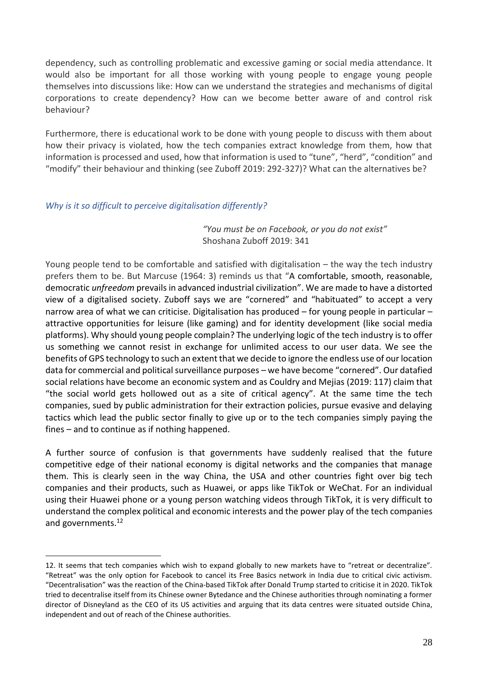dependency, such as controlling problematic and excessive gaming or social media attendance. It would also be important for all those working with young people to engage young people themselves into discussions like: How can we understand the strategies and mechanisms of digital corporations to create dependency? How can we become better aware of and control risk behaviour?

Furthermore, there is educational work to be done with young people to discuss with them about how their privacy is violated, how the tech companies extract knowledge from them, how that information is processed and used, how that information is used to "tune", "herd", "condition" and "modify" their behaviour and thinking (see Zuboff 2019: 292-327)? What can the alternatives be?

#### *Why is it so difficult to perceive digitalisation differently?*

*"You must be on Facebook, or you do not exist"* Shoshana Zuboff 2019: 341

Young people tend to be comfortable and satisfied with digitalisation – the way the tech industry prefers them to be. But Marcuse (1964: 3) reminds us that "A comfortable, smooth, reasonable, democratic *unfreedom* prevails in advanced industrial civilization". We are made to have a distorted view of a digitalised society. Zuboff says we are "cornered" and "habituated" to accept a very narrow area of what we can criticise. Digitalisation has produced – for young people in particular – attractive opportunities for leisure (like gaming) and for identity development (like social media platforms). Why should young people complain? The underlying logic of the tech industry is to offer us something we cannot resist in exchange for unlimited access to our user data. We see the benefits of GPS technology to such an extent that we decide to ignore the endless use of our location data for commercial and political surveillance purposes – we have become "cornered". Our datafied social relations have become an economic system and as Couldry and Mejias (2019: 117) claim that "the social world gets hollowed out as a site of critical agency". At the same time the tech companies, sued by public administration for their extraction policies, pursue evasive and delaying tactics which lead the public sector finally to give up or to the tech companies simply paying the fines – and to continue as if nothing happened.

A further source of confusion is that governments have suddenly realised that the future competitive edge of their national economy is digital networks and the companies that manage them. This is clearly seen in the way China, the USA and other countries fight over big tech companies and their products, such as Huawei, or apps like TikTok or WeChat. For an individual using their Huawei phone or a young person watching videos through TikTok, it is very difficult to understand the complex political and economic interests and the power play of the tech companies and governments. 12

<sup>12.</sup> It seems that tech companies which wish to expand globally to new markets have to "retreat or decentralize". "Retreat" was the only option for Facebook to cancel its Free Basics network in India due to critical civic activism. "Decentralisation" was the reaction of the China-based TikTok after Donald Trump started to criticise it in 2020. TikTok tried to decentralise itself from its Chinese owner Bytedance and the Chinese authorities through nominating a former director of Disneyland as the CEO of its US activities and arguing that its data centres were situated outside China, independent and out of reach of the Chinese authorities.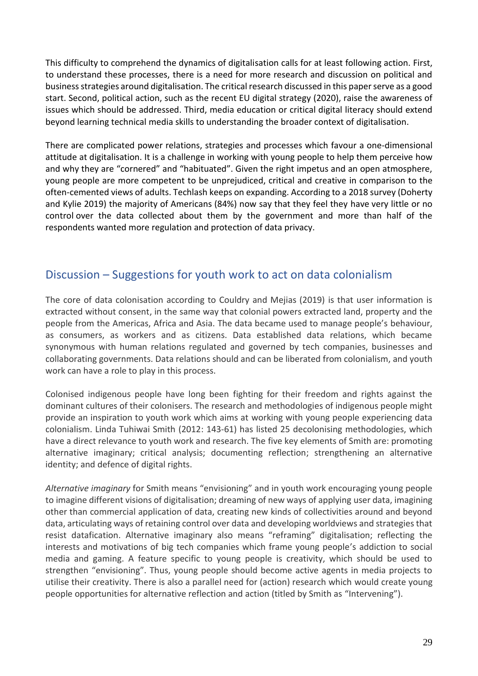This difficulty to comprehend the dynamics of digitalisation calls for at least following action. First, to understand these processes, there is a need for more research and discussion on political and business strategies around digitalisation. The critical research discussed in this paper serve as a good start. Second, political action, such as the recent EU digital strategy (2020), raise the awareness of issues which should be addressed. Third, media education or critical digital literacy should extend beyond learning technical media skills to understanding the broader context of digitalisation.

There are complicated power relations, strategies and processes which favour a one-dimensional attitude at digitalisation. It is a challenge in working with young people to help them perceive how and why they are "cornered" and "habituated". Given the right impetus and an open atmosphere, young people are more competent to be unprejudiced, critical and creative in comparison to the often-cemented views of adults. Techlash keeps on expanding. According to a 2018 survey (Doherty and Kylie 2019) the majority of Americans (84%) now say that they feel they have [very little or no](https://www.pewresearch.org/internet/2019/11/15/americans-and-privacy-concerned-confused-and-feeling-lack-of-control-over-their-personal-information/)  [control](https://www.pewresearch.org/internet/2019/11/15/americans-and-privacy-concerned-confused-and-feeling-lack-of-control-over-their-personal-information/) over the data collected about them by the government and more than half of the respondents wanted more regulation and protection of data privacy.

# <span id="page-29-0"></span>Discussion – Suggestions for youth work to act on data colonialism

The core of data colonisation according to Couldry and Mejias (2019) is that user information is extracted without consent, in the same way that colonial powers extracted land, property and the people from the Americas, Africa and Asia. The data became used to manage people's behaviour, as consumers, as workers and as citizens. Data established data relations, which became synonymous with human relations regulated and governed by tech companies, businesses and collaborating governments. Data relations should and can be liberated from colonialism, and youth work can have a role to play in this process.

Colonised indigenous people have long been fighting for their freedom and rights against the dominant cultures of their colonisers. The research and methodologies of indigenous people might provide an inspiration to youth work which aims at working with young people experiencing data colonialism. Linda Tuhiwai Smith (2012: 143-61) has listed 25 decolonising methodologies, which have a direct relevance to youth work and research. The five key elements of Smith are: promoting alternative imaginary; critical analysis; documenting reflection; strengthening an alternative identity; and defence of digital rights.

*Alternative imaginary* for Smith means "envisioning" and in youth work encouraging young people to imagine different visions of digitalisation; dreaming of new ways of applying user data, imagining other than commercial application of data, creating new kinds of collectivities around and beyond data, articulating ways of retaining control over data and developing worldviews and strategies that resist datafication. Alternative imaginary also means "reframing" digitalisation; reflecting the interests and motivations of big tech companies which frame young people's addiction to social media and gaming. A feature specific to young people is creativity, which should be used to strengthen "envisioning". Thus, young people should become active agents in media projects to utilise their creativity. There is also a parallel need for (action) research which would create young people opportunities for alternative reflection and action (titled by Smith as "Intervening").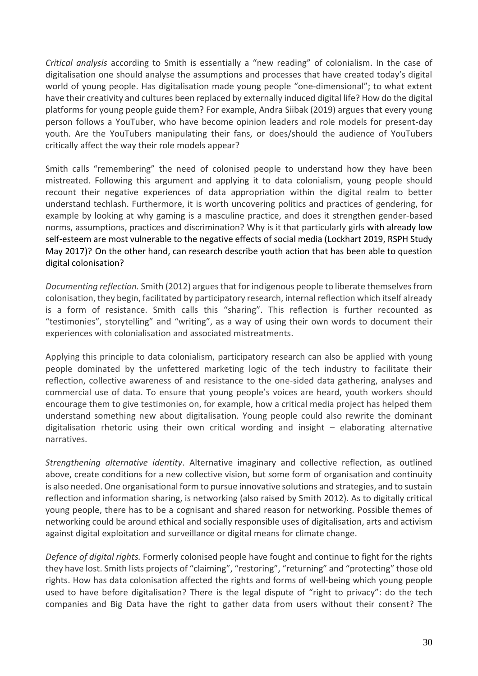*Critical analysis* according to Smith is essentially a "new reading" of colonialism. In the case of digitalisation one should analyse the assumptions and processes that have created today's digital world of young people. Has digitalisation made young people "one-dimensional"; to what extent have their creativity and cultures been replaced by externally induced digital life? How do the digital platforms for young people guide them? For example, Andra Siibak (2019) argues that every young person follows a YouTuber, who have become opinion leaders and role models for present-day youth. Are the YouTubers manipulating their fans, or does/should the audience of YouTubers critically affect the way their role models appear?

Smith calls "remembering" the need of colonised people to understand how they have been mistreated. Following this argument and applying it to data colonialism, young people should recount their negative experiences of data appropriation within the digital realm to better understand techlash. Furthermore, it is worth uncovering politics and practices of gendering, for example by looking at why gaming is a masculine practice, and does it strengthen gender-based norms, assumptions, practices and discrimination? Why is it that particularly girls with already low self-esteem are most vulnerable to the negative effects of social media (Lockhart 2019, RSPH Study May 2017)? On the other hand, can research describe youth action that has been able to question digital colonisation?

*Documenting reflection.* Smith (2012) argues that for indigenous people to liberate themselves from colonisation, they begin, facilitated by participatory research, internal reflection which itself already is a form of resistance. Smith calls this "sharing". This reflection is further recounted as "testimonies", storytelling" and "writing", as a way of using their own words to document their experiences with colonialisation and associated mistreatments.

Applying this principle to data colonialism, participatory research can also be applied with young people dominated by the unfettered marketing logic of the tech industry to facilitate their reflection, collective awareness of and resistance to the one-sided data gathering, analyses and commercial use of data. To ensure that young people's voices are heard, youth workers should encourage them to give testimonies on, for example, how a critical media project has helped them understand something new about digitalisation. Young people could also rewrite the dominant digitalisation rhetoric using their own critical wording and insight – elaborating alternative narratives.

*Strengthening alternative identity*. Alternative imaginary and collective reflection, as outlined above, create conditions for a new collective vision, but some form of organisation and continuity is also needed. One organisational form to pursue innovative solutions and strategies, and to sustain reflection and information sharing, is networking (also raised by Smith 2012). As to digitally critical young people, there has to be a cognisant and shared reason for networking. Possible themes of networking could be around ethical and socially responsible uses of digitalisation, arts and activism against digital exploitation and surveillance or digital means for climate change.

*Defence of digital rights.* Formerly colonised people have fought and continue to fight for the rights they have lost. Smith lists projects of "claiming", "restoring", "returning" and "protecting" those old rights. How has data colonisation affected the rights and forms of well-being which young people used to have before digitalisation? There is the legal dispute of "right to privacy": do the tech companies and Big Data have the right to gather data from users without their consent? The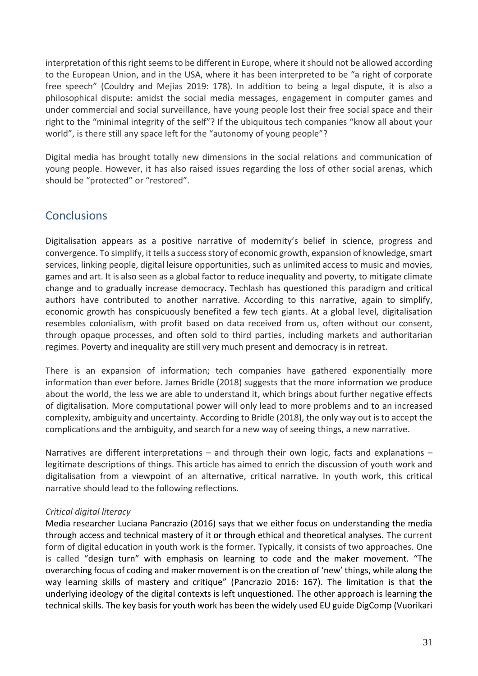interpretation of this right seems to be different in Europe, where it should not be allowed according to the European Union, and in the USA, where it has been interpreted to be "a right of corporate free speech" (Couldry and Mejias 2019: 178). In addition to being a legal dispute, it is also a philosophical dispute: amidst the social media messages, engagement in computer games and under commercial and social surveillance, have young people lost their free social space and their right to the "minimal integrity of the self"? If the ubiquitous tech companies "know all about your world", is there still any space left for the "autonomy of young people"?

Digital media has brought totally new dimensions in the social relations and communication of young people. However, it has also raised issues regarding the loss of other social arenas, which should be "protected" or "restored".

# <span id="page-31-0"></span>**Conclusions**

Digitalisation appears as a positive narrative of modernity's belief in science, progress and convergence. To simplify, it tells a success story of economic growth, expansion of knowledge, smart services, linking people, digital leisure opportunities, such as unlimited access to music and movies, games and art. It is also seen as a global factor to reduce inequality and poverty, to mitigate climate change and to gradually increase democracy. Techlash has questioned this paradigm and critical authors have contributed to another narrative. According to this narrative, again to simplify, economic growth has conspicuously benefited a few tech giants. At a global level, digitalisation resembles colonialism, with profit based on data received from us, often without our consent, through opaque processes, and often sold to third parties, including markets and authoritarian regimes. Poverty and inequality are still very much present and democracy is in retreat.

There is an expansion of information; tech companies have gathered exponentially more information than ever before. James Bridle (2018) suggests that the more information we produce about the world, the less we are able to understand it, which brings about further negative effects of digitalisation. More computational power will only lead to more problems and to an increased complexity, ambiguity and uncertainty. According to Bridle (2018), the only way out is to accept the complications and the ambiguity, and search for a new way of seeing things, a new narrative.

Narratives are different interpretations – and through their own logic, facts and explanations – legitimate descriptions of things. This article has aimed to enrich the discussion of youth work and digitalisation from a viewpoint of an alternative, critical narrative. In youth work, this critical narrative should lead to the following reflections.

#### *Critical digital literacy*

Media researcher Luciana Pancrazio (2016) says that we either focus on understanding the media through access and technical mastery of it or through ethical and theoretical analyses. The current form of digital education in youth work is the former. Typically, it consists of two approaches. One is called "design turn" with emphasis on learning to code and the maker movement. "The overarching focus of coding and maker movement is on the creation of 'new' things, while along the way learning skills of mastery and critique" (Pancrazio 2016: 167). The limitation is that the underlying ideology of the digital contexts is left unquestioned. The other approach is learning the technical skills. The key basis for youth work has been the widely used EU guide DigComp (Vuorikari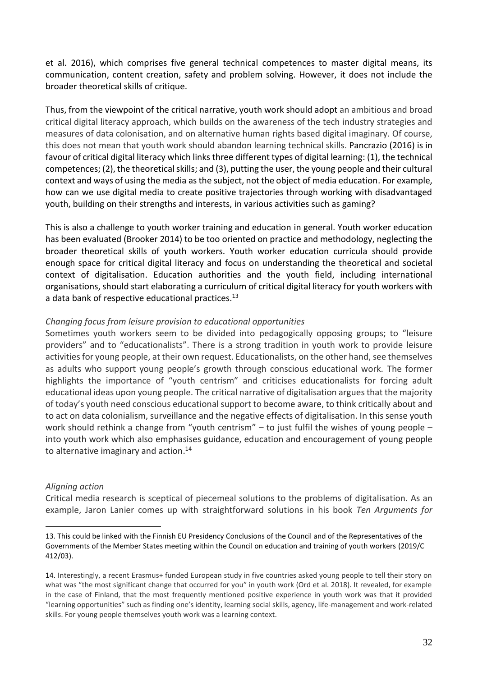et al. 2016), which comprises five general technical competences to master digital means, its communication, content creation, safety and problem solving. However, it does not include the broader theoretical skills of critique.

Thus, from the viewpoint of the critical narrative, youth work should adopt an ambitious and broad critical digital literacy approach, which builds on the awareness of the tech industry strategies and measures of data colonisation, and on alternative human rights based digital imaginary. Of course, this does not mean that youth work should abandon learning technical skills. Pancrazio (2016) is in favour of critical digital literacy which links three different types of digital learning: (1), the technical competences; (2), the theoretical skills; and (3), putting the user, the young people and their cultural context and ways of using the media as the subject, not the object of media education. For example, how can we use digital media to create positive trajectories through working with disadvantaged youth, building on their strengths and interests, in various activities such as gaming?

This is also a challenge to youth worker training and education in general. Youth worker education has been evaluated (Brooker 2014) to be too oriented on practice and methodology, neglecting the broader theoretical skills of youth workers. Youth worker education curricula should provide enough space for critical digital literacy and focus on understanding the theoretical and societal context of digitalisation. Education authorities and the youth field, including international organisations, should start elaborating a curriculum of critical digital literacy for youth workers with a data bank of respective educational practices. $^{\rm 13}$ 

#### *Changing focus from leisure provision to educational opportunities*

Sometimes youth workers seem to be divided into pedagogically opposing groups; to "leisure providers" and to "educationalists". There is a strong tradition in youth work to provide leisure activities for young people, at their own request. Educationalists, on the other hand, see themselves as adults who support young people's growth through conscious educational work. The former highlights the importance of "youth centrism" and criticises educationalists for forcing adult educational ideas upon young people. The critical narrative of digitalisation argues that the majority of today's youth need conscious educational support to become aware, to think critically about and to act on data colonialism, surveillance and the negative effects of digitalisation. In this sense youth work should rethink a change from "youth centrism" – to just fulfil the wishes of young people – into youth work which also emphasises guidance, education and encouragement of young people to alternative imaginary and action. 14

#### *Aligning action*

Critical media research is sceptical of piecemeal solutions to the problems of digitalisation. As an example, Jaron Lanier comes up with straightforward solutions in his book *Ten Arguments for* 

<sup>13.</sup> This could be linked with the Finnish EU Presidency Conclusions of the Council and of the Representatives of the Governments of the Member States meeting within the Council on education and training of youth workers (2019/C 412/03).

<sup>14.</sup> Interestingly, a recent Erasmus+ funded European study in five countries asked young people to tell their story on what was "the most significant change that occurred for you" in youth work (Ord et al. 2018). It revealed, for example in the case of Finland, that the most frequently mentioned positive experience in youth work was that it provided "learning opportunities" such as finding one's identity, learning social skills, agency, life-management and work-related skills. For young people themselves youth work was a learning context.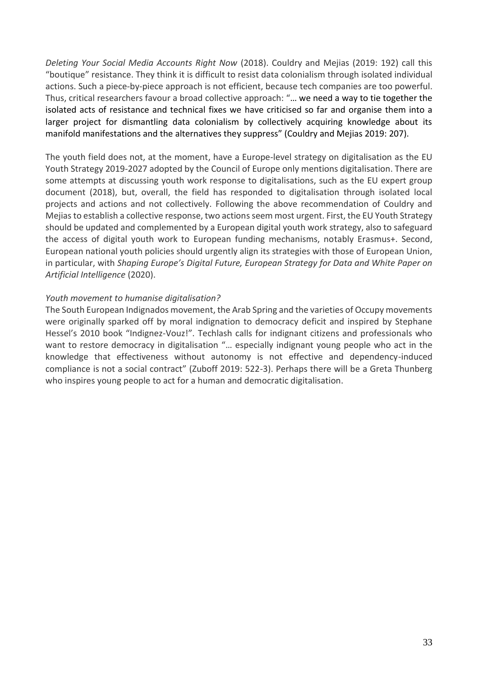*Deleting Your Social Media Accounts Right Now* (2018). Couldry and Mejias (2019: 192) call this "boutique" resistance. They think it is difficult to resist data colonialism through isolated individual actions. Such a piece-by-piece approach is not efficient, because tech companies are too powerful. Thus, critical researchers favour a broad collective approach: "… we need a way to tie together the isolated acts of resistance and technical fixes we have criticised so far and organise them into a larger project for dismantling data colonialism by collectively acquiring knowledge about its manifold manifestations and the alternatives they suppress" (Couldry and Mejias 2019: 207).

The youth field does not, at the moment, have a Europe-level strategy on digitalisation as the EU Youth Strategy 2019-2027 adopted by the Council of Europe only mentions digitalisation. There are some attempts at discussing youth work response to digitalisations, such as the EU expert group document (2018), but, overall, the field has responded to digitalisation through isolated local projects and actions and not collectively. Following the above recommendation of Couldry and Mejias to establish a collective response, two actions seem most urgent. First, the EU Youth Strategy should be updated and complemented by a European digital youth work strategy, also to safeguard the access of digital youth work to European funding mechanisms, notably Erasmus+. Second, European national youth policies should urgently align its strategies with those of European Union, in particular, with *Shaping Europe's Digital Future, European Strategy for Data and White Paper on Artificial Intelligence* (2020).

#### *Youth movement to humanise digitalisation?*

The South European Indignados movement, the Arab Spring and the varieties of Occupy movements were originally sparked off by moral indignation to democracy deficit and inspired by Stephane Hessel's 2010 book "Indignez-Vouz!". Techlash calls for indignant citizens and professionals who want to restore democracy in digitalisation "... especially indignant young people who act in the knowledge that effectiveness without autonomy is not effective and dependency-induced compliance is not a social contract" (Zuboff 2019: 522-3). Perhaps there will be a Greta Thunberg who inspires young people to act for a human and democratic digitalisation.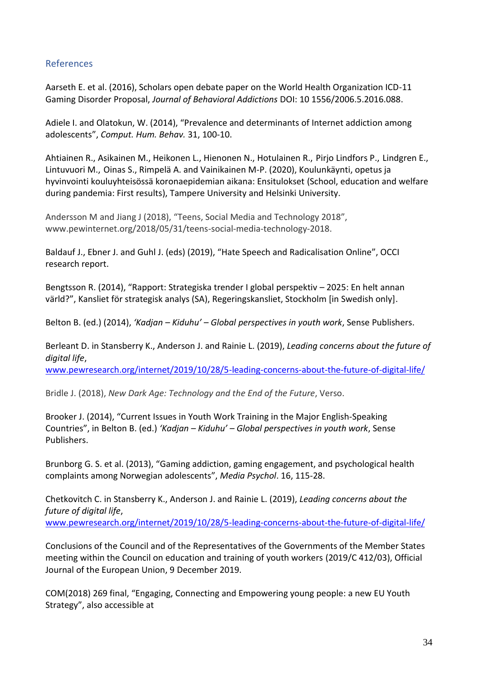#### <span id="page-34-0"></span>References

Aarseth E. et al. (2016), Scholars open debate paper on the World Health Organization ICD-11 Gaming Disorder Proposal, *Journal of Behavioral Addictions* DOI: 10 1556/2006.5.2016.088.

Adiele I. and Olatokun, W. (2014), "Prevalence and determinants of Internet addiction among adolescents", *Comput. Hum. Behav.* 31, 100-10.

Ahtiainen R., Asikainen M., Heikonen L., Hienonen N., Hotulainen R., Pirjo Lindfors P., Lindgren E., Lintuvuori M., Oinas S., Rimpelä A. and Vainikainen M-P. (2020), Koulunkäynti, opetus ja hyvinvointi kouluyhteisössä koronaepidemian aikana: Ensitulokset (School, education and welfare during pandemia: First results), Tampere University and Helsinki University.

Andersson M and Jiang J (2018), "Teens, Social Media and Technology 2018", www.pewinternet.org/2018/05/31/teens-social-media-technology-2018.

Baldauf J., Ebner J. and Guhl J. (eds) (2019), "Hate Speech and Radicalisation Online", OCCI research report.

Bengtsson R. (2014), "Rapport: Strategiska trender I global perspektiv – 2025: En helt annan värld?", Kansliet för strategisk analys (SA), Regeringskansliet, Stockholm [in Swedish only].

Belton B. (ed.) (2014), *'Kadjan – Kiduhu' – Global perspectives in youth work*, Sense Publishers.

Berleant D. in Stansberry K., [Anderson](https://www.pewresearch.org/staff/janna-anderson) J. and [Rainie](https://www.pewresearch.org/staff/lee-rainie) L. (2019), *Leading concerns about the future of digital life*,

[www.pewresearch.org/internet/2019/10/28/5-leading-concerns-about-the-future-of-digital-life/](http://www.pewresearch.org/internet/2019/10/28/5-leading-concerns-about-the-future-of-digital-life/)

Bridle J. (2018), *New Dark Age: Technology and the End of the Future*, Verso.

Brooker J. (2014), "Current Issues in Youth Work Training in the Major English-Speaking Countries", in Belton B. (ed.) *'Kadjan – Kiduhu' – Global perspectives in youth work*, Sense Publishers.

Brunborg G. S. et al. (2013), "Gaming addiction, gaming engagement, and psychological health complaints among Norwegian adolescents", *Media Psychol*. 16, 115-28.

Chetkovitch C. in Stansberry K., [Anderson](https://www.pewresearch.org/staff/janna-anderson) J. and [Rainie](https://www.pewresearch.org/staff/lee-rainie) L. (2019), *Leading concerns about the future of digital life*, [www.pewresearch.org/internet/2019/10/28/5-leading-concerns-about-the-future-of-digital-life/](http://www.pewresearch.org/internet/2019/10/28/5-leading-concerns-about-the-future-of-digital-life/)

Conclusions of the Council and of the Representatives of the Governments of the Member States meeting within the Council on education and training of youth workers (2019/C 412/03), Official Journal of the European Union, 9 December 2019.

COM(2018) 269 final, "Engaging, Connecting and Empowering young people: a new EU Youth Strategy", also accessible at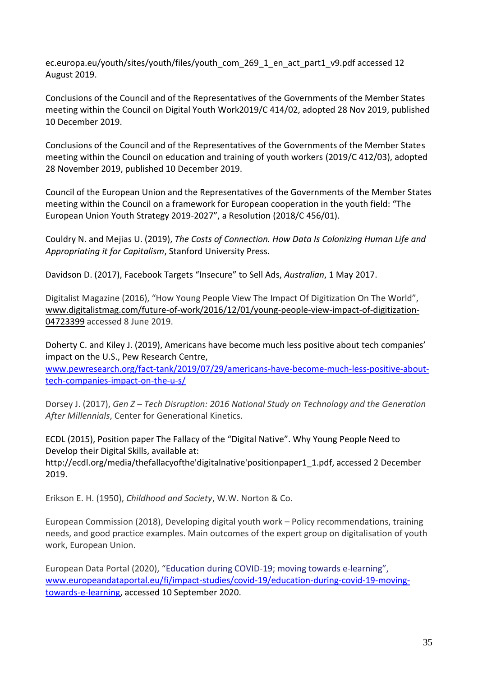ec.europa.eu/youth/sites/youth/files/youth\_com\_269\_1\_en\_act\_part1\_v9.pdf accessed 12 August 2019.

Conclusions of the Council and of the Representatives of the Governments of the Member States meeting within the Council on Digital Youth Work2019/C 414/02, adopted 28 Nov 2019, published 10 December 2019.

Conclusions of the Council and of the Representatives of the Governments of the Member States meeting within the Council on education and training of youth workers (2019/C 412/03), adopted 28 November 2019, published 10 December 2019.

Council of the European Union and the Representatives of the Governments of the Member States meeting within the Council on a framework for European cooperation in the youth field: "The European Union Youth Strategy 2019-2027", a Resolution (2018/C 456/01).

Couldry N. and Mejias U. (2019), *The Costs of Connection. How Data Is Colonizing Human Life and Appropriating it for Capitalism*, Stanford University Press.

Davidson D. (2017), Facebook Targets "Insecure" to Sell Ads, *Australian*, 1 May 2017.

Digitalist Magazine (2016), "How Young People View The Impact Of Digitization On The World", [www.digitalistmag.com/future-of-work/2016/12/01/young-people-view-impact-of-digitization-](https://www.digitalistmag.com/future-of-work/2016/12/01/young-people-view-impact-of-digitization-04723399)[04723399](https://www.digitalistmag.com/future-of-work/2016/12/01/young-people-view-impact-of-digitization-04723399) accessed 8 June 2019.

Doherty C. and Kiley J. (2019), Americans have become much less positive about tech companies' impact on the U.S., Pew Research Centre,

[www.pewresearch.org/fact-tank/2019/07/29/americans-have-become-much-less-positive-about](http://www.pewresearch.org/fact-tank/2019/07/29/americans-have-become-much-less-positive-about-tech-companies-impact-on-the-u-s/)[tech-companies-impact-on-the-u-s/](http://www.pewresearch.org/fact-tank/2019/07/29/americans-have-become-much-less-positive-about-tech-companies-impact-on-the-u-s/)

Dorsey J. (2017), *Gen Z – Tech Disruption: 2016 National Study on Technology and the Generation After Millennials*, Center for Generational Kinetics.

ECDL (2015), Position paper The Fallacy of the "Digital Native". Why Young People Need to Develop their Digital Skills, available at:

http://ecdl.org/media/thefallacyofthe'digitalnative'positionpaper1\_1.pdf, accessed 2 December 2019.

Erikson E. H. (1950), *Childhood and Society*, W.W. Norton & Co.

European Commission (2018), Developing digital youth work – Policy recommendations, training needs, and good practice examples. Main outcomes of the expert group on digitalisation of youth work, European Union.

European Data Portal (2020), "Education during COVID-19; moving towards e-learning", [www.europeandataportal.eu/fi/impact-studies/covid-19/education-during-covid-19-moving](http://www.europeandataportal.eu/fi/impact-studies/covid-19/education-during-covid-19-moving-towards-e-learning)[towards-e-learning,](http://www.europeandataportal.eu/fi/impact-studies/covid-19/education-during-covid-19-moving-towards-e-learning) accessed 10 September 2020.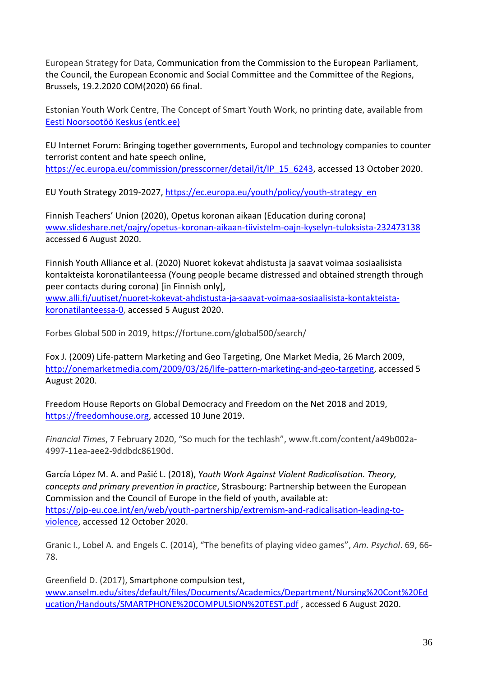European Strategy for Data, Communication from the Commission to the European Parliament, the Council, the European Economic and Social Committee and the Committee of the Regions, Brussels, 19.2.2020 COM(2020) 66 final.

Estonian Youth Work Centre, The Concept of Smart Youth Work, no printing date, available from [Eesti Noorsootöö Keskus \(entk.ee\)](https://entk.ee/)

EU Internet Forum: Bringing together governments, Europol and technology companies to counter terrorist content and hate speech online, [https://ec.europa.eu/commission/presscorner/detail/it/IP\\_15\\_6243,](https://ec.europa.eu/commission/presscorner/detail/it/IP_15_6243) accessed 13 October 2020.

EU Youth Strategy 2019-2027, [https://ec.europa.eu/youth/policy/youth-strategy\\_en](https://ec.europa.eu/youth/policy/youth-strategy_en)

Finnish Teachers' Union (2020), Opetus koronan aikaan (Education during corona) [www.slideshare.net/oajry/opetus-koronan-aikaan-tiivistelm-oajn-kyselyn-tuloksista-232473138](http://www.slideshare.net/oajry/opetus-koronan-aikaan-tiivistelm-oajn-kyselyn-tuloksista-232473138) accessed 6 August 2020.

Finnish Youth Alliance et al. (2020) Nuoret kokevat ahdistusta ja saavat voimaa sosiaalisista kontakteista koronatilanteessa (Young people became distressed and obtained strength through peer contacts during corona) [in Finnish only],

[www.alli.fi/uutiset/nuoret-kokevat-ahdistusta-ja-saavat-voimaa-sosiaalisista-kontakteista](http://www.alli.fi/uutiset/nuoret-kokevat-ahdistusta-ja-saavat-voimaa-sosiaalisista-kontakteista-koronatilanteessa-0)[koronatilanteessa-0,](http://www.alli.fi/uutiset/nuoret-kokevat-ahdistusta-ja-saavat-voimaa-sosiaalisista-kontakteista-koronatilanteessa-0) accessed 5 August 2020.

Forbes Global 500 in 2019, https://fortune.com/global500/search/

Fox J. (2009) Life-pattern Marketing and Geo Targeting, One Market Media, 26 March 2009, [http://onemarketmedia.com/2009/03/26/life-pattern-marketing-and-geo-targeting,](http://onemarketmedia.com/2009/03/26/life-pattern-marketing-and-geo-targeting) accessed 5 August 2020.

Freedom House Reports on Global Democracy and Freedom on the Net 2018 and 2019, [https://freedomhouse.org,](https://freedomhouse.org/) accessed 10 June 2019.

*Financial Times*, 7 February 2020, "So much for the techlash", www.ft.com/content/a49b002a-4997-11ea-aee2-9ddbdc86190d.

García López M. A. and Pašić L. (2018), *Youth Work Against Violent Radicalisation. Theory, concepts and primary prevention in practice*, Strasbourg: Partnership between the European Commission and the Council of Europe in the field of youth, available at: [https://pjp-eu.coe.int/en/web/youth-partnership/extremism-and-radicalisation-leading-to](https://pjp-eu.coe.int/en/web/youth-partnership/extremism-and-radicalisation-leading-to-violence)[violence,](https://pjp-eu.coe.int/en/web/youth-partnership/extremism-and-radicalisation-leading-to-violence) accessed 12 October 2020.

Granic I., Lobel A. and Engels C. (2014), "The benefits of playing video games", *Am. Psychol*. 69, 66- 78.

Greenfield D. (2017), Smartphone compulsion test, [www.anselm.edu/sites/default/files/Documents/Academics/Department/Nursing%20Cont%20Ed](http://www.anselm.edu/sites/default/files/Documents/Academics/Department/Nursing%20Cont%20Education/Handouts/SMARTPHONE%20COMPULSION%20TEST.pdf) [ucation/Handouts/SMARTPHONE%20COMPULSION%20TEST.pdf](http://www.anselm.edu/sites/default/files/Documents/Academics/Department/Nursing%20Cont%20Education/Handouts/SMARTPHONE%20COMPULSION%20TEST.pdf) , accessed 6 August 2020.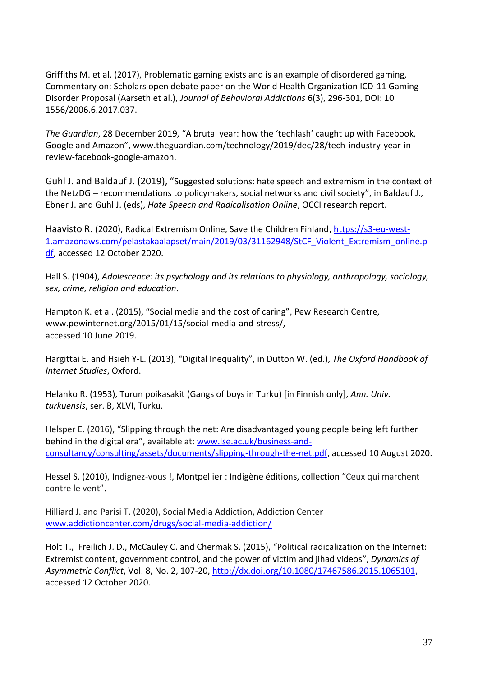Griffiths M. et al. (2017), Problematic gaming exists and is an example of disordered gaming, Commentary on: Scholars open debate paper on the World Health Organization ICD-11 Gaming Disorder Proposal (Aarseth et al.), *Journal of Behavioral Addictions* 6(3), 296-301, DOI: 10 1556/2006.6.2017.037.

*The Guardian*, 28 December 2019, "A brutal year: how the 'techlash' caught up with Facebook, Google and Amazon", www.theguardian.com/technology/2019/dec/28/tech-industry-year-inreview-facebook-google-amazon.

Guhl J. and Baldauf J. (2019), "Suggested solutions: hate speech and extremism in the context of the NetzDG – recommendations to policymakers, social networks and civil society", in Baldauf J., Ebner J. and Guhl J. (eds), *Hate Speech and Radicalisation Online*, OCCI research report.

Haavisto R. (2020), Radical Extremism Online, Save the Children Finland, [https://s3-eu-west-](https://s3-eu-west-1.amazonaws.com/pelastakaalapset/main/2019/03/31162948/StCF_Violent_Extremism_online.pdf)[1.amazonaws.com/pelastakaalapset/main/2019/03/31162948/StCF\\_Violent\\_Extremism\\_online.p](https://s3-eu-west-1.amazonaws.com/pelastakaalapset/main/2019/03/31162948/StCF_Violent_Extremism_online.pdf) [df,](https://s3-eu-west-1.amazonaws.com/pelastakaalapset/main/2019/03/31162948/StCF_Violent_Extremism_online.pdf) accessed 12 October 2020.

Hall S. (1904), *[Adolescence: its psychology and its relations to physiology, anthropology, sociology,](https://archive.org/details/adolescenceitsps01hall/page/n4)  [sex, crime, religion and education](https://archive.org/details/adolescenceitsps01hall/page/n4)*.

[Hampton](https://www.pewresearch.org/staff/keith-hampton) K. et al. (2015), "Social media and the cost of caring", Pew Research Centre, www.pewinternet.org/2015/01/15/social-media-and-stress/, accessed 10 June 2019.

Hargittai E. and Hsieh Y-L. (2013), "Digital Inequality", in Dutton W. (ed.), *The Oxford Handbook of Internet Studies*, Oxford.

Helanko R. (1953), Turun poikasakit (Gangs of boys in Turku) [in Finnish only], *Ann. Univ. turkuensis*, ser. B, XLVI, Turku.

Helsper E. (2016), "Slipping through the net: Are disadvantaged young people being left further behind in the digital era", available at: [www.lse.ac.uk/business-and](http://www.lse.ac.uk/business-and-consultancy/consulting/assets/documents/slipping-through-the-net.pdf)[consultancy/consulting/assets/documents/slipping-through-the-net.pdf,](http://www.lse.ac.uk/business-and-consultancy/consulting/assets/documents/slipping-through-the-net.pdf) accessed 10 August 2020.

Hessel S. (2010), Indignez-vous !, [Montpellier](https://fr.wikipedia.org/wiki/Montpellier) : [Indigène éditions,](https://fr.wikipedia.org/wiki/Indig%C3%A8ne_%C3%A9ditions) collection "Ceux qui marchent contre le vent".

Hilliard J. and Parisi T. (2020), Social Media Addiction, Addiction Center [www.addictioncenter.com/drugs/social-media-addiction/](http://www.addictioncenter.com/drugs/social-media-addiction/)

[Holt](https://www.tandfonline.com/author/Holt%2C+Tom) T., [Freilich](https://www.tandfonline.com/author/Freilich%2C+Joshua+D) J. D., [McCauley](https://www.tandfonline.com/author/McCauley%2C+Clark) C. and Chermak S. (2015), "Political radicalization on the Internet: Extremist content, government control, and the power of victim and jihad videos", *Dynamics of Asymmetric Conflict*, Vol. 8, No. 2, 107-20, [http://dx.doi.org/10.1080/17467586.2015.1065101,](http://dx.doi.org/10.1080/17467586.2015.1065101) accessed 12 October 2020.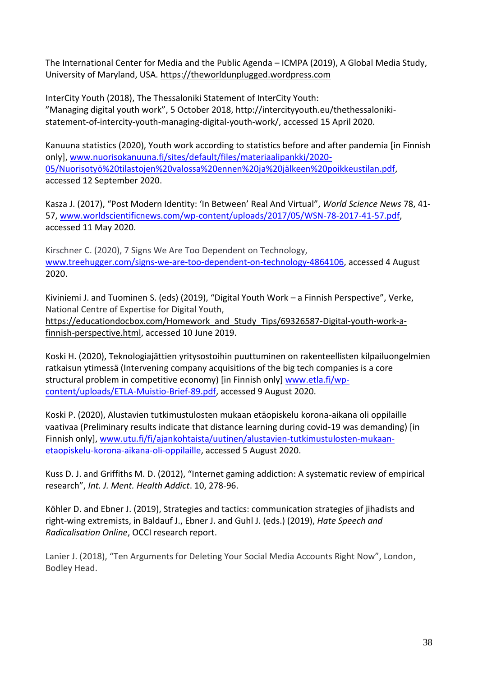The International Center for Media and the Public Agenda – [ICMPA](https://theworldunplugged.wordpress.com/about/international-center-for-media-the-public-agenda/) (2019), A Global Media Study, [University](https://theworldunplugged.wordpress.com/demographics/u-s-universitie/university-of-maryland/) of Maryland, USA. [https://theworldunplugged.wordpress.com](https://theworldunplugged.wordpress.com/)

InterCity Youth (2018), The Thessaloniki Statement of InterCity Youth: "Managing digital youth work", 5 October 2018, http://intercityyouth.eu/thethessalonikistatement-of-intercity-youth-managing-digital-youth-work/, accessed 15 April 2020.

Kanuuna statistics (2020), Youth work according to statistics before and after pandemia [in Finnish only], [www.nuorisokanuuna.fi/sites/default/files/materiaalipankki/2020-](http://www.nuorisokanuuna.fi/sites/default/files/materiaalipankki/2020-05/Nuorisotyö%20tilastojen%20valossa%20ennen%20ja%20jälkeen%20poikkeustilan.pdf) [05/Nuorisotyö%20tilastojen%20valossa%20ennen%20ja%20jälkeen%20poikkeustilan.pdf,](http://www.nuorisokanuuna.fi/sites/default/files/materiaalipankki/2020-05/Nuorisotyö%20tilastojen%20valossa%20ennen%20ja%20jälkeen%20poikkeustilan.pdf) accessed 12 September 2020.

Kasza J. (2017), "Post Modern Identity: 'In Between' Real And Virtual", *World Science News* 78, 41- 57, [www.worldscientificnews.com/wp-content/uploads/2017/05/WSN-78-2017-41-57.pdf,](http://www.worldscientificnews.com/wp-content/uploads/2017/05/WSN-78-2017-41-57.pdf) accessed 11 May 2020.

[Kirschner](https://www.treehugger.com/chanie-kirschner-4844853) C. (2020), 7 Signs We Are Too Dependent on Technology, [www.treehugger.com/signs-we-are-too-dependent-on-technology-4864106,](http://www.treehugger.com/signs-we-are-too-dependent-on-technology-4864106) accessed 4 August 2020.

Kiviniemi J. and Tuominen S. (eds) (2019), "Digital Youth Work – a Finnish Perspective", Verke, National Centre of Expertise for Digital Youth, [https://educationdocbox.com/Homework\\_and\\_Study\\_Tips/69326587-Digital-youth-work-a](https://educationdocbox.com/Homework_and_Study_Tips/69326587-Digital-youth-work-a-finnish-perspective.html)[finnish-perspective.html,](https://educationdocbox.com/Homework_and_Study_Tips/69326587-Digital-youth-work-a-finnish-perspective.html) accessed 10 June 2019.

Koski H. (2020), Teknologiajättien yritysostoihin puuttuminen on rakenteellisten kilpailuongelmien ratkaisun ytimessä (Intervening company acquisitions of the big tech companies is a core structural problem in competitive economy) [in Finnish only] [www.etla.fi/wp](http://www.etla.fi/wp-content/uploads/ETLA-Muistio-Brief-89.pdf)[content/uploads/ETLA-Muistio-Brief-89.pdf,](http://www.etla.fi/wp-content/uploads/ETLA-Muistio-Brief-89.pdf) accessed 9 August 2020.

Koski P. (2020), Alustavien tutkimustulosten mukaan etäopiskelu korona-aikana oli oppilaille vaativaa (Preliminary results indicate that distance learning during covid-19 was demanding) [in Finnish only], [www.utu.fi/fi/ajankohtaista/uutinen/alustavien-tutkimustulosten-mukaan](http://www.utu.fi/fi/ajankohtaista/uutinen/alustavien-tutkimustulosten-mukaan-etaopiskelu-korona-aikana-oli-oppilaille)[etaopiskelu-korona-aikana-oli-oppilaille,](http://www.utu.fi/fi/ajankohtaista/uutinen/alustavien-tutkimustulosten-mukaan-etaopiskelu-korona-aikana-oli-oppilaille) accessed 5 August 2020.

Kuss D. J. and Griffiths M. D. (2012), "Internet gaming addiction: A systematic review of empirical research", *Int. J. Ment. Health Addict*. 10, 278-96.

Köhler D. and Ebner J. (2019), Strategies and tactics: communication strategies of jihadists and right-wing extremists, in Baldauf J., Ebner J. and Guhl J. (eds.) (2019), *Hate Speech and Radicalisation Online*, OCCI research report.

Lanier J. (2018), "Ten Arguments for Deleting Your Social Media Accounts Right Now", London, Bodley Head.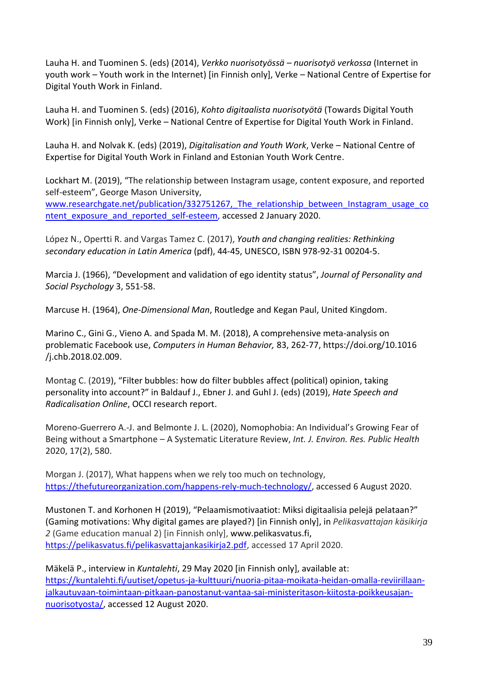Lauha H. and Tuominen S. (eds) (2014), *Verkko nuorisotyössä – nuorisotyö verkossa* (Internet in youth work – Youth work in the Internet) [in Finnish only], Verke – National Centre of Expertise for Digital Youth Work in Finland.

Lauha H. and Tuominen S. (eds) (2016), *Kohto digitaalista nuorisotyötä* (Towards Digital Youth Work) [in Finnish only], Verke – National Centre of Expertise for Digital Youth Work in Finland.

Lauha H. and Nolvak K. (eds) (2019), *Digitalisation and Youth Work*, Verke – National Centre of Expertise for Digital Youth Work in Finland and Estonian Youth Work Centre.

Lockhart M. (2019), "The relationship between Instagram usage, content exposure, and reported self-esteem", George Mason University, www.researchgate.net/publication/332751267, The relationship\_between\_Instagram\_usage\_co [ntent\\_exposure\\_and\\_reported\\_self-esteem,](http://www.researchgate.net/publication/332751267,_The_relationship_between_Instagram_usage_content_exposure_and_reported_self-esteem) accessed 2 January 2020.

López N., Opertti R. and Vargas Tamez C. (2017), *[Youth and changing realities: Rethinking](http://unesdoc.unesco.org/images/0024/002475/247577E.pdf)  [secondary education in Latin America](http://unesdoc.unesco.org/images/0024/002475/247577E.pdf)* (pdf), 44-45, UNESCO, [ISBN](https://en.wikipedia.org/wiki/International_Standard_Book_Number) [978-92-31 00204-5.](https://en.wikipedia.org/wiki/Special:BookSources/978-92-31_00204-5)

Marcia J. (1966), "Development and validation of ego identity status", *Journal of Personality and Social Psychology* 3, 551-58.

Marcuse H. (1964), *One-Dimensional Man*, Routledge and Kegan Paul, United Kingdom.

Marino C., Gini G., Vieno A. and Spada M. M. (2018), A comprehensive meta-analysis on problematic Facebook use, *Computers in Human Behavior,* 83, 262-77, [https://doi.org/10.1016](https://doi.org/10.1016%20/j.chb.2018.02.009)  [/j.chb.2018.02.009.](https://doi.org/10.1016%20/j.chb.2018.02.009)

Montag C. (2019), "Filter bubbles: how do filter bubbles affect (political) opinion, taking personality into account?" in Baldauf J., Ebner J. and Guhl J. (eds) (2019), *Hate Speech and Radicalisation Online*, OCCI research report.

Moreno-Guerrero A.-J. and Belmonte J. L. (2020), Nomophobia: An Individual's Growing Fear of Being without a Smartphone – A Systematic Literature Review, *Int. J. Environ. Res. Public Health* 2020, 17(2), 580.

Morgan J. (2017), What happens when we rely too much on technology, [https://thefutureorganization.com/happens-rely-much-technology/,](https://thefutureorganization.com/happens-rely-much-technology/) accessed 6 August 2020.

Mustonen T. and Korhonen H (2019), "Pelaamismotivaatiot: Miksi digitaalisia pelejä pelataan?" (Gaming motivations: Why digital games are played?) [in Finnish only], in *Pelikasvattajan käsikirja 2* (Game education manual 2) [in Finnish only], [www.pelikasvatus.fi,](http://www.pelikasvatus.fi/) [https://pelikasvatus.fi/pelikasvattajankasikirja2.pdf,](https://pelikasvatus.fi/pelikasvattajankasikirja2.pdf) accessed 17 April 2020.

Mäkelä P., interview in *Kuntalehti*, 29 May 2020 [in Finnish only], available at: [https://kuntalehti.fi/uutiset/opetus-ja-kulttuuri/nuoria-pitaa-moikata-heidan-omalla-reviirillaan](https://kuntalehti.fi/uutiset/opetus-ja-kulttuuri/nuoria-pitaa-moikata-heidan-omalla-reviirillaan-jalkautuvaan-toimintaan-pitkaan-panostanut-vantaa-sai-ministeritason-kiitosta-poikkeusajan-nuorisotyosta/)[jalkautuvaan-toimintaan-pitkaan-panostanut-vantaa-sai-ministeritason-kiitosta-poikkeusajan](https://kuntalehti.fi/uutiset/opetus-ja-kulttuuri/nuoria-pitaa-moikata-heidan-omalla-reviirillaan-jalkautuvaan-toimintaan-pitkaan-panostanut-vantaa-sai-ministeritason-kiitosta-poikkeusajan-nuorisotyosta/)[nuorisotyosta/,](https://kuntalehti.fi/uutiset/opetus-ja-kulttuuri/nuoria-pitaa-moikata-heidan-omalla-reviirillaan-jalkautuvaan-toimintaan-pitkaan-panostanut-vantaa-sai-ministeritason-kiitosta-poikkeusajan-nuorisotyosta/) accessed 12 August 2020.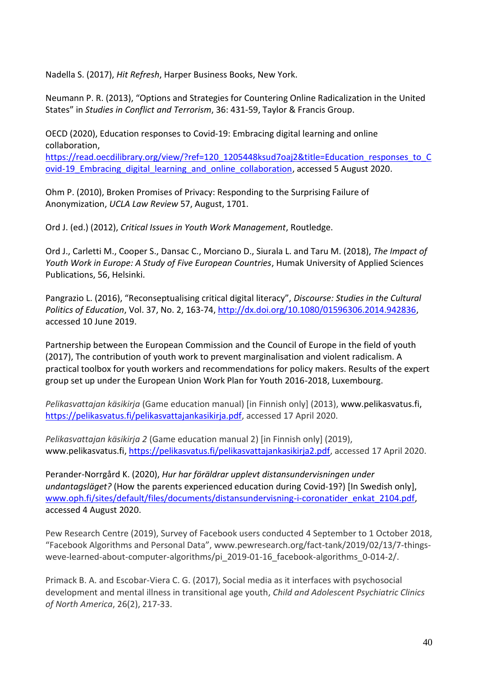Nadella S. (2017), *Hit Refresh*, Harper Business Books, New York.

Neumann P. R. (2013), "Options and Strategies for Countering Online Radicalization in the United States" in *Studies in Conflict and Terrorism*, 36: 431-59, Taylor & Francis Group.

OECD (2020), Education responses to Covid-19: Embracing digital learning and online collaboration,

[https://read.oecdilibrary.org/view/?ref=120\\_1205448ksud7oaj2&title=Education\\_responses\\_to\\_C](https://read.oecdilibrary.org/view/?ref=120_1205448ksud7oaj2&title=Education_responses_to_Covid-19_Embracing_digital_learning_and_online_collaboration) [ovid-19\\_Embracing\\_digital\\_learning\\_and\\_online\\_collaboration,](https://read.oecdilibrary.org/view/?ref=120_1205448ksud7oaj2&title=Education_responses_to_Covid-19_Embracing_digital_learning_and_online_collaboration) accessed 5 August 2020.

Ohm P. (2010), Broken Promises of Privacy: Responding to the Surprising Failure of Anonymization, *UCLA Law Review* 57, August, 1701.

Ord J. (ed.) (2012), *Critical Issues in Youth Work Management*, Routledge.

Ord J., Carletti M., Cooper S., Dansac C., Morciano D., Siurala L. and Taru M. (2018), *The Impact of Youth Work in Europe: A Study of Five European Countries*, Humak University of Applied Sciences Publications, 56, Helsinki.

Pangrazio L. (2016), "Reconseptualising critical digital literacy", *Discourse: Studies in the Cultural Politics of Education*, Vol. 37, No. 2, 163-74, [http://dx.doi.org/10.1080/01596306.2014.942836,](http://dx.doi.org/10.1080/01596306.2014.942836) accessed 10 June 2019.

Partnership between the European Commission and the Council of Europe in the field of youth (2017), The contribution of youth work to prevent marginalisation and violent radicalism. A practical toolbox for youth workers and recommendations for policy makers. Results of the expert group set up under the European Union Work Plan for Youth 2016-2018, Luxembourg.

*Pelikasvattajan käsikirja* (Game education manual) [in Finnish only] (2013), [www.pelikasvatus.fi,](http://www.pelikasvatus.fi/) [https://pelikasvatus.fi/pelikasvattajankasikirja.pdf,](https://pelikasvatus.fi/pelikasvattajankasikirja.pdf) accessed 17 April 2020.

*Pelikasvattajan käsikirja 2* (Game education manual 2) [in Finnish only] (2019), [www.pelikasvatus.fi,](http://www.pelikasvatus.fi/) [https://pelikasvatus.fi/pelikasvattajankasikirja2.pdf,](https://pelikasvatus.fi/pelikasvattajankasikirja2.pdf) accessed 17 April 2020.

Perander-Norrgård K. (2020), *Hur har föräldrar upplevt distansundervisningen under undantagsläget?* (How the parents experienced education during Covid-19?) [In Swedish only], [www.oph.fi/sites/default/files/documents/distansundervisning-i-coronatider\\_enkat\\_2104.pdf,](http://www.oph.fi/sites/default/files/documents/distansundervisning-i-coronatider_enkat_2104.pdf) accessed 4 August 2020.

Pew Research Centre (2019), Survey of Facebook users conducted 4 September to 1 October 2018, "Facebook Algorithms and Personal Data", www.pewresearch.org/fact-tank/2019/02/13/7-thingsweve-learned-about-computer-algorithms/pi\_2019-01-16\_facebook-algorithms\_0-014-2/.

Primack B. A. and Escobar-Viera C. G. (2017), Social media as it interfaces with psychosocial development and mental illness in transitional age youth, *Child and Adolescent Psychiatric Clinics of North America*, 26(2), 217-33.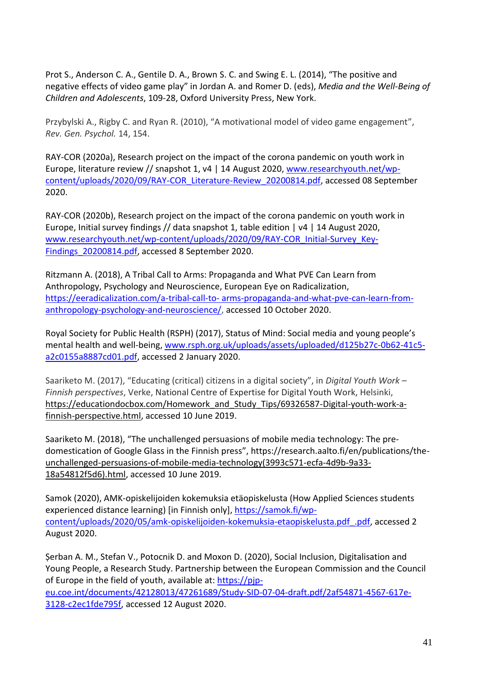Prot S., Anderson C. A., Gentile D. A., Brown S. C. and Swing E. L. (2014), "The positive and negative effects of video game play" in Jordan A. and Romer D. (eds), *Media and the Well-Being of Children and Adolescents*, 109-28, Oxford University Press, New York.

Przybylski A., Rigby C. and Ryan R. (2010), "A motivational model of video game engagement", *Rev. Gen. Psychol.* 14, 154.

RAY-COR (2020a), Research project on the impact of the corona pandemic on youth work in Europe, literature review // snapshot 1, v4 | 14 August 2020, [www.researchyouth.net/wp](http://www.researchyouth.net/wp-content/uploads/2020/09/RAY-COR_Literature-Review_20200814.pdf)[content/uploads/2020/09/RAY-COR\\_Literature-Review\\_20200814.pdf,](http://www.researchyouth.net/wp-content/uploads/2020/09/RAY-COR_Literature-Review_20200814.pdf) accessed 08 September 2020.

RAY-COR (2020b), Research project on the impact of the corona pandemic on youth work in Europe, Initial survey findings // data snapshot 1, table edition | v4 | 14 August 2020, [www.researchyouth.net/wp-content/uploads/2020/09/RAY-COR\\_Initial-Survey\\_Key-](http://www.researchyouth.net/wp-content/uploads/2020/09/RAY-COR_Initial-Survey_Key-Findings_20200814.pdf)[Findings\\_20200814.pdf,](http://www.researchyouth.net/wp-content/uploads/2020/09/RAY-COR_Initial-Survey_Key-Findings_20200814.pdf) accessed 8 September 2020.

Ritzmann A. (2018), A Tribal Call to Arms: Propaganda and What PVE Can Learn from Anthropology, Psychology and Neuroscience, European Eye on Radicalization, https://eeradicalization.com/a-tribal-call-to- [arms-propaganda-and-what-pve-can-learn-from](https://eeradicalization.com/a-tribal-call-to-%20arms-propaganda-and-what-pve-can-learn-from-%20anthropology-psychology-and-neuroscience/)[anthropology-psychology-and-neuroscience/,](https://eeradicalization.com/a-tribal-call-to-%20arms-propaganda-and-what-pve-can-learn-from-%20anthropology-psychology-and-neuroscience/) accessed 10 October 2020.

Royal Society for Public Health (RSPH) (2017), Status of Mind: Social media and young people's mental health and well-being, [www.rsph.org.uk/uploads/assets/uploaded/d125b27c-0b62-41c5](http://www.rsph.org.uk/uploads/assets/uploaded/d125b27c-0b62-41c5-a2c0155a8887cd01.pdf) [a2c0155a8887cd01.pdf,](http://www.rsph.org.uk/uploads/assets/uploaded/d125b27c-0b62-41c5-a2c0155a8887cd01.pdf) accessed 2 January 2020.

Saariketo M. (2017), "Educating (critical) citizens in a digital society", in *Digital Youth Work – Finnish perspectives*, Verke, National Centre of Expertise for Digital Youth Work, Helsinki, [https://educationdocbox.com/Homework\\_and\\_Study\\_Tips/69326587-Digital-youth-work-a](https://educationdocbox.com/Homework_and_Study_Tips/69326587-Digital-youth-work-a-finnish-perspective.html)[finnish-perspective.html,](https://educationdocbox.com/Homework_and_Study_Tips/69326587-Digital-youth-work-a-finnish-perspective.html) accessed 10 June 2019.

Saariketo M. (2018), "[The unchallenged persuasions of mobile media technology: The pre](https://research.aalto.fi/en/publications/the-unchallenged-persuasions-of-mobile-media-technology(3993c571-ecfa-4d9b-9a33-18a54812f5d6).html)[domestication of Google Glass in the Finnish press](https://research.aalto.fi/en/publications/the-unchallenged-persuasions-of-mobile-media-technology(3993c571-ecfa-4d9b-9a33-18a54812f5d6).html)", https://research.aalto.fi/en/publications/theunchallenged-persuasions-of-mobile-media-technology(3993c571-ecfa-4d9b-9a33- 18a54812f5d6).html, accessed 10 June 2019.

Samok (2020), AMK-opiskelijoiden kokemuksia etäopiskelusta (How Applied Sciences students experienced distance learning) [in Finnish only], [https://samok.fi/wp](https://samok.fi/wp-content/uploads/2020/05/amk-opiskelijoiden-kokemuksia-etaopiskelusta.pdf_.pdf)[content/uploads/2020/05/amk-opiskelijoiden-kokemuksia-etaopiskelusta.pdf\\_.pdf,](https://samok.fi/wp-content/uploads/2020/05/amk-opiskelijoiden-kokemuksia-etaopiskelusta.pdf_.pdf) accessed 2 August 2020.

Șerban A. M., Stefan V., Potocnik D. and Moxon D. (2020), Social Inclusion, Digitalisation and Young People, a Research Study. Partnership between the European Commission and the Council of Europe in the field of youth, available at: [https://pjp](https://pjp-eu.coe.int/documents/42128013/47261689/Study-SID-07-04-draft.pdf/2af54871-4567-617e-3128-c2ec1fde795f)[eu.coe.int/documents/42128013/47261689/Study-SID-07-04-draft.pdf/2af54871-4567-617e-](https://pjp-eu.coe.int/documents/42128013/47261689/Study-SID-07-04-draft.pdf/2af54871-4567-617e-3128-c2ec1fde795f)[3128-c2ec1fde795f,](https://pjp-eu.coe.int/documents/42128013/47261689/Study-SID-07-04-draft.pdf/2af54871-4567-617e-3128-c2ec1fde795f) accessed 12 August 2020.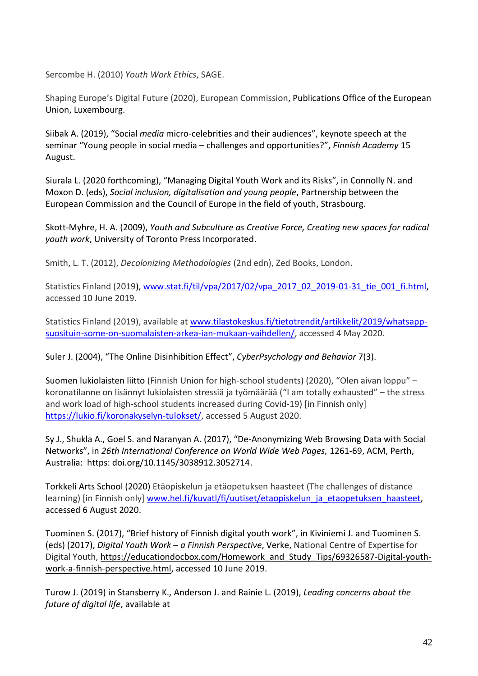Sercombe H. (2010) *Youth Work Ethics*, SAGE.

Shaping Europe's Digital Future (2020), European Commission, Publications Office of the European Union, Luxembourg.

Siibak A. (2019), "Social *media* micro-celebrities and their audiences", keynote speech at the seminar "Young people in social media – challenges and opportunities?", *Finnish Academy* 15 August.

Siurala L. (2020 forthcoming), "Managing Digital Youth Work and its Risks", in Connolly N. and Moxon D. (eds), *Social inclusion, digitalisation and young people*, Partnership between the European Commission and the Council of Europe in the field of youth, Strasbourg.

Skott-Myhre, H. A. (2009), *Youth and Subculture as Creative Force, Creating new spaces for radical youth work*, University of Toronto Press Incorporated.

Smith, L. T. (2012), *Decolonizing Methodologies* (2nd edn), Zed Books, London.

Statistics Finland (2019), [www.stat.fi/til/vpa/2017/02/vpa\\_2017\\_02\\_2019-01-31\\_tie\\_001\\_fi.html,](http://www.stat.fi/til/vpa/2017/02/vpa_2017_02_2019-01-31_tie_001_fi.html) accessed 10 June 2019.

Statistics Finland (2019), available at [www.tilastokeskus.fi/tietotrendit/artikkelit/2019/whatsapp](http://www.tilastokeskus.fi/tietotrendit/artikkelit/2019/whatsapp-suosituin-some-on-suomalaisten-arkea-ian-mukaan-vaihdellen/)[suosituin-some-on-suomalaisten-arkea-ian-mukaan-vaihdellen/,](http://www.tilastokeskus.fi/tietotrendit/artikkelit/2019/whatsapp-suosituin-some-on-suomalaisten-arkea-ian-mukaan-vaihdellen/) accessed 4 May 2020.

Suler J. (2004), "The Online Disinhibition Effect", *CyberPsychology and Behavior* 7(3).

Suomen lukiolaisten liitto (Finnish Union for high-school students) (2020), "Olen aivan loppu" – koronatilanne on lisännyt lukiolaisten stressiä ja työmäärää ("I am totally exhausted" – the stress and work load of high-school students increased during Covid-19) [in Finnish only] [https://lukio.fi/koronakyselyn-tulokset/,](https://lukio.fi/koronakyselyn-tulokset/) accessed 5 August 2020.

Sy J., Shukla A., Goel S. and Naranyan A. (2017), "De-Anonymizing Web Browsing Data with Social Networks", in *26th International Conference on World Wide Web Pages,* 1261-69, ACM, Perth, Australia: https: doi.org/10.1145/3038912.3052714.

Torkkeli Arts School (2020) Etäopiskelun ja etäopetuksen haasteet (The challenges of distance learning) [in Finnish only] [www.hel.fi/kuvatl/fi/uutiset/etaopiskelun\\_ja\\_etaopetuksen\\_haasteet,](http://www.hel.fi/kuvatl/fi/uutiset/etaopiskelun_ja_etaopetuksen_haasteet) accessed 6 August 2020.

Tuominen S. (2017), "Brief history of Finnish digital youth work", in Kiviniemi J. and Tuominen S. (eds) (2017), *Digital Youth Work – a Finnish Perspective*, Verke, National Centre of Expertise for Digital Youth, [https://educationdocbox.com/Homework\\_and\\_Study\\_Tips/69326587-Digital-youth](https://educationdocbox.com/Homework_and_Study_Tips/69326587-Digital-youth-work-a-finnish-perspective.html)[work-a-finnish-perspective.html,](https://educationdocbox.com/Homework_and_Study_Tips/69326587-Digital-youth-work-a-finnish-perspective.html) accessed 10 June 2019.

Turow J. (2019) in Stansberry K., [Anderson](https://www.pewresearch.org/staff/janna-anderson) J. and [Rainie](https://www.pewresearch.org/staff/lee-rainie) L. (2019), *Leading concerns about the future of digital life*, available at